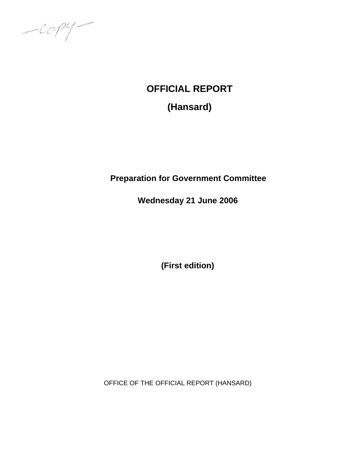$-i\mathcal{O} \mathcal{P}$ 

# **OFFICIAL REPORT**

**(Hansard)** 

# **Preparation for Government Committee**

**Wednesday 21 June 2006** 

**(First edition)** 

OFFICE OF THE OFFICIAL REPORT (HANSARD)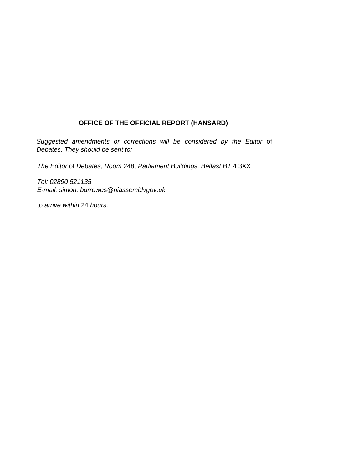# **OFFICE OF THE OFFICIAL REPORT (HANSARD)**

*Suggested amendments or corrections will be considered by the Editor* of *Debates. They should be sent to:* 

*The Editor* of *Debates, Room* 248, *Parliament Buildings, Belfast BT* 4 3XX

*Tel: 02890 521135 E-mail: simon. burrowes@niassemblvgov.uk*

to *arrive within* 24 *hours.*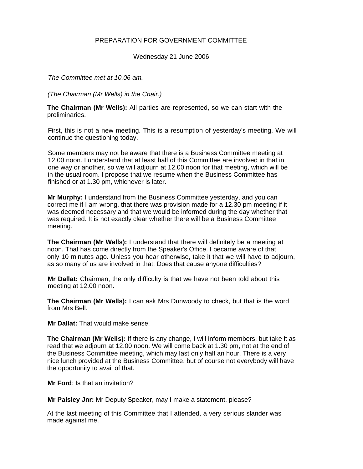# PREPARATION FOR GOVERNMENT COMMITTEE

Wednesday 21 June 2006

*The Committee met at 10.06 am.* 

*(The Chairman (Mr Wells) in the Chair.)* 

**The Chairman (Mr Wells):** All parties are represented, so we can start with the preliminaries.

First, this is not a new meeting. This is a resumption of yesterday's meeting. We will continue the questioning today.

Some members may not be aware that there is a Business Committee meeting at 12.00 noon. I understand that at least half of this Committee are involved in that in one way or another, so we will adjourn at 12.00 noon for that meeting, which will be in the usual room. I propose that we resume when the Business Committee has finished or at 1.30 pm, whichever is later.

**Mr Murphy:** I understand from the Business Committee yesterday, and you can correct me if I am wrong, that there was provision made for a 12.30 pm meeting if it was deemed necessary and that we would be informed during the day whether that was required. It is not exactly clear whether there will be a Business Committee meeting.

**The Chairman (Mr Wells):** I understand that there will definitely be a meeting at noon. That has come directly from the Speaker's Office. I became aware of that only 10 minutes ago. Unless you hear otherwise, take it that we will have to adjourn, as so many of us are involved in that. Does that cause anyone difficulties?

**Mr Dallat:** Chairman, the only difficulty is that we have not been told about this meeting at 12.00 noon.

**The Chairman (Mr Wells):** I can ask Mrs Dunwoody to check, but that is the word from Mrs Bell.

**Mr Dallat:** That would make sense.

**The Chairman (Mr Wells):** If there is any change, I will inform members, but take it as read that we adjourn at 12.00 noon. We will come back at 1.30 pm, not at the end of the Business Committee meeting, which may last only half an hour. There is a very nice lunch provided at the Business Committee, but of course not everybody will have the opportunity to avail of that.

**Mr Ford**: Is that an invitation?

**Mr Paisley Jnr:** Mr Deputy Speaker, may I make a statement, please?

At the last meeting of this Committee that I attended, a very serious slander was made against me.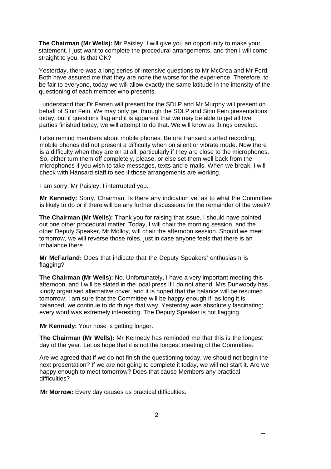**The Chairman (Mr Wells): Mr** Paisley, I will give you an opportunity to make your statement. I just want to complete the procedural arrangements, and then I will come straight to you. Is that OK?

Yesterday, there was a long series of intensive questions to Mr McCrea and Mr Ford. Both have assured me that they are none the worse for the experience. Therefore, to be fair to everyone, today we will allow exactly the same latitude in the intensity of the questioning of each member who presents.

I understand that Dr Farren will present for the SDLP and Mr Murphy will present on behalf of Sinn Fein. We may only get through the SDLP and Sinn Fein presentations today, but if questions flag and it is apparent that we may be able to get all five parties finished today, we will attempt to do that. We will know as things develop.

I also remind members about mobile phones. Before Hansard started recording, mobile phones did not present a difficulty when on silent or vibrate mode. Now there is a difficulty when they are on at all, particularly if they are close to the microphones. So, either turn them off completely, please, or else set them well back from the microphones if you wish to take messages, texts and e-mails. When we break, I will check with Hansard staff to see if those arrangements are working.

I am sorry, Mr Paisley; I interrupted you.

**Mr Kennedy:** Sorry, Chairman. Is there any indication yet as to what the Committee is likely to do or if there will be any further discussions for the remainder of the week?

**The Chairman (Mr Wells):** Thank you for raising that issue. I should have pointed out one other procedural matter. Today, I will chair the morning session, and the other Deputy Speaker, Mr Molloy, will chair the afternoon session. Should we meet tomorrow, we will reverse those roles, just in case anyone feels that there is an imbalance there.

**Mr McFarland:** Does that indicate that the Deputy Speakers' enthusiasm is flagging?

**The Chairman (Mr Wells):** No. Unfortunately, I have a very important meeting this afternoon, and I will be slated in the local press if I do not attend. Mrs Dunwoody has kindly organised alternative cover, and it is hoped that the balance will be resumed tomorrow. I am sure that the Committee will be happy enough if, as long it is balanced, we continue to do things that way. Yesterday was absolutely fascinating; every word was extremely interesting. The Deputy Speaker is not flagging.

**Mr Kennedy:** Your nose is getting longer.

**The Chairman (Mr Wells):** Mr Kennedy has reminded me that this is the longest day of the year. Let us hope that it is not the longest meeting of the Committee.

Are we agreed that if we do not finish the questioning today, we should not begin the next presentation? If we are not going to complete it today, we will not start it. Are we happy enough to meet tomorrow? Does that cause Members any practical difficulties?

**Mr Morrow:** Every day causes us practical difficulties.

--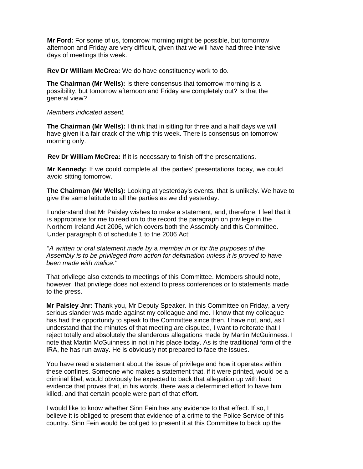**Mr Ford:** For some of us, tomorrow morning might be possible, but tomorrow afternoon and Friday are very difficult, given that we will have had three intensive days of meetings this week.

**Rev Dr William McCrea:** We do have constituency work to do.

**The Chairman (Mr Wells):** Is there consensus that tomorrow morning is a possibility, but tomorrow afternoon and Friday are completely out? Is that the general view?

*Members indicated assent.* 

**The Chairman (Mr Wells):** I think that in sitting for three and a half days we will have given it a fair crack of the whip this week. There is consensus on tomorrow morning only.

**Rev Dr William McCrea:** If it is necessary to finish off the presentations.

**Mr Kennedy:** If we could complete all the parties' presentations today, we could avoid sitting tomorrow.

**The Chairman (Mr Wells):** Looking at yesterday's events, that is unlikely. We have to give the same latitude to all the parties as we did yesterday.

I understand that Mr Paisley wishes to make a statement, and, therefore, I feel that it is appropriate for me to read on to the record the paragraph on privilege in the Northern Ireland Act 2006, which covers both the Assembly and this Committee. Under paragraph 6 of schedule 1 to the 2006 Act:

"*A written or oral statement made by* a *member in or for the purposes of the Assembly is to be privileged from action for defamation unless it is proved to have been made with malice."* 

That privilege also extends to meetings of this Committee. Members should note, however, that privilege does not extend to press conferences or to statements made to the press.

**Mr Paisley Jnr:** Thank you, Mr Deputy Speaker. In this Committee on Friday, a very serious slander was made against my colleague and me. I know that my colleague has had the opportunity to speak to the Committee since then. I have not, and, as I understand that the minutes of that meeting are disputed, I want to reiterate that I reject totally and absolutely the slanderous allegations made by Martin McGuinness. I note that Martin McGuinness in not in his place today. As is the traditional form of the IRA, he has run away. He is obviously not prepared to face the issues.

You have read a statement about the issue of privilege and how it operates within these confines. Someone who makes a statement that, if it were printed, would be a criminal libel, would obviously be expected to back that allegation up with hard evidence that proves that, in his words, there was a determined effort to have him killed, and that certain people were part of that effort.

I would like to know whether Sinn Fein has any evidence to that effect. If so, I believe it is obliged to present that evidence of a crime to the Police Service of this country. Sinn Fein would be obliged to present it at this Committee to back up the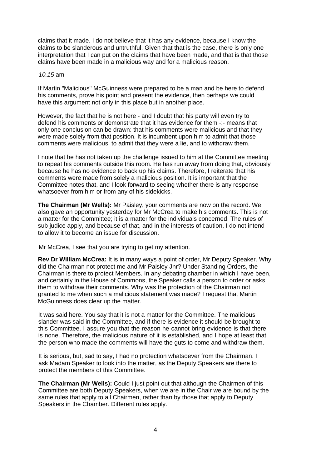claims that it made. I do not believe that it has any evidence, because I know the claims to be slanderous and untruthful. Given that that is the case, there is only one interpretation that I can put on the claims that have been made, and that is that those claims have been made in a malicious way and for a malicious reason.

#### *10.15* am

If Martin "Malicious" McGuinness were prepared to be a man and be here to defend his comments, prove his point and present the evidence, then perhaps we could have this argument not only in this place but in another place.

However, the fact that he is not here - and I doubt that his party will even try to defend his comments or demonstrate that it has evidence for them -:- means that only one conclusion can be drawn: that his comments were malicious and that they were made solely from that position. It is incumbent upon him to admit that those comments were malicious, to admit that they were a lie, and to withdraw them.

I note that he has not taken up the challenge issued to him at the Committee meeting to repeat his comments outside this room. He has run away from doing that, obviously because he has no evidence to back up his claims. Therefore, I reiterate that his comments were made from solely a malicious position. It is important that the Committee notes that, and I look forward to seeing whether there is any response whatsoever from him or from any of his sidekicks.

**The Chairman (Mr Wells):** Mr Paisley, your comments are now on the record. We also gave an opportunity yesterday for Mr McCrea to make his comments. This is not a matter for the Committee; it is a matter for the individuals concerned. The rules of sub judice apply, and because of that, and in the interests of caution, I do not intend to allow it to become an issue for discussion.

Mr McCrea, I see that you are trying to get my attention.

**Rev Dr William McCrea:** It is in many ways a point of order, Mr Deputy Speaker. Why did the Chairman not protect me and Mr Paisley Jnr? Under Standing Orders, the Chairman is there to protect Members. In any debating chamber in which I have been, and certainly in the House of Commons, the Speaker calls a person to order or asks them to withdraw their comments. Why was the protection of the Chairman not granted to me when such a malicious statement was made? I request that Martin McGuinness does clear up the matter.

It was said here. You say that it is not a matter for the Committee. The malicious slander was said in the Committee, and if there is evidence it should be brought to this Committee. I assure you that the reason he cannot bring evidence is that there is none. Therefore, the malicious nature of it is established, and I hope at least that the person who made the comments will have the guts to come and withdraw them.

It is serious, but, sad to say, I had no protection whatsoever from the Chairman. I ask Madam Speaker to look into the matter, as the Deputy Speakers are there to protect the members of this Committee.

**The Chairman (Mr Wells):** Could I just point out that although the Chairmen of this Committee are both Deputy Speakers, when we are in the Chair we are bound by the same rules that apply to all Chairmen, rather than by those that apply to Deputy Speakers in the Chamber. Different rules apply.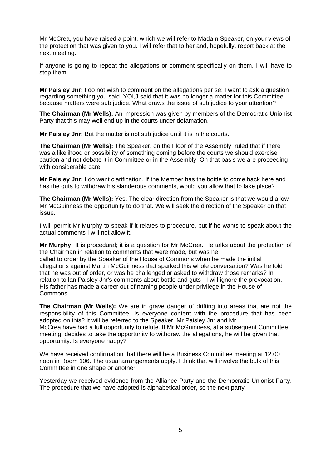Mr McCrea, you have raised a point, which we will refer to Madam Speaker, on your views of the protection that was given to you. I will refer that to her and, hopefully, report back at the next meeting.

If anyone is going to repeat the allegations or comment specifically on them, I will have to stop them.

. **Mr Paisley Jnr:** I do not wish to comment on the allegations per se; I want to ask a question regarding something you said. YOI,J said that it was no longer a matter for this Committee because matters were sub judice. What draws the issue of sub judice to your attention?

**The Chairman (Mr Wells):** An impression was given by members of the Democratic Unionist Party that this may well end up in the courts under defamation.

**Mr Paisley Jnr:** But the matter is not sub judice until it is in the courts.

**The Chairman (Mr Wells):** The Speaker, on the Floor of the Assembly, ruled that if there was a likelihood or possibility of something coming before the courts we should exercise caution and not debate it in Committee or in the Assembly. On that basis we are proceeding with considerable care.

**Mr Paisley Jnr:** I do want clarification. **If** the Member has the bottle to come back here and has the guts tq withdraw his slanderous comments, would you allow that to take place?

**The Chairman (Mr Wells):** Yes. The clear direction from the Speaker is that we would allow Mr McGuinness the opportunity to do that. We will seek the direction of the Speaker on that issue.

I will permit Mr Murphy to speak if it relates to procedure, but if he wants to speak about the actual comments I will not allow it.

**Mr Murphy:** It is procedural; it is a question for Mr McCrea. He talks about the protection of the Chairman in relation to comments that were made, but was he called to order by the Speaker of the House of Commons when he made the initial allegations against Martin McGuinness that sparked this whole conversation? Was he told that he was out of order, or was he challenged or asked to withdraw those remarks? In relation to lan Paisley Jnr's comments about bottle and guts - I will ignore the provocation. His father has made a career out of naming people under privilege in the House of Commons.

**The Chairman (Mr Wells):** We are in grave danger of drifting into areas that are not the responsibility of this Committee. Is everyone content with the procedure that has been adopted on this? It will be referred to the Speaker. Mr Paisley Jnr and Mr McCrea have had a full opportunity to refute. If Mr McGuinness, at a subsequent Committee meeting, decides to take the opportunity to withdraw the allegations, he will be given that opportunity. Is everyone happy?

We have received confirmation that there will be a Business Committee meeting at 12.00 noon in Room 106. The usual arrangements apply. I think that will involve the bulk of this Committee in one shape or another.

Yesterday we received evidence from the Alliance Party and the Democratic Unionist Party. The procedure that we have adopted is alphabetical order, so the next party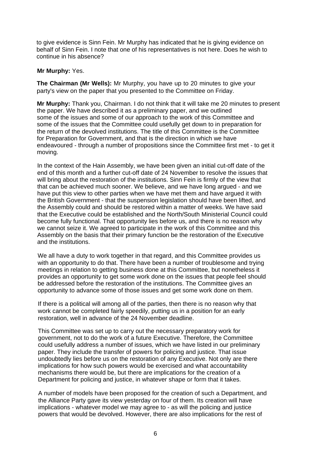to give evidence is Sinn Fein. Mr Murphy has indicated that he is giving evidence on behalf of Sinn Fein. I note that one of his representatives is not here. Does he wish to continue in his absence?

# **Mr Murphy:** Yes.

**The Chairman (Mr Wells):** Mr Murphy, you have up to 20 minutes to give your party's view on the paper that you presented to the Committee on Friday.

**Mr Murphy:** Thank you, Chairman. I do not think that it will take me 20 minutes to present the paper. We have described it as a preliminary paper, and we outlined some of the issues and some of our approach to the work of this Committee and some of the issues that the Committee could usefully get down to in preparation for the return of the devolved institutions. The title of this Committee is the Committee for Preparation for Government, and that is the direction in which we have endeavoured - through a number of propositions since the Committee first met - to get it moving.

In the context of the Hain Assembly, we have been given an initial cut-off date of the end of this month and a further cut-off date of 24 November to resolve the issues that will bring about the restoration of the institutions. Sinn Fein is firmly of the view that that can be achieved much sooner. We believe, and we have long argued - and we have put this view to other parties when we have met them and have argued it with the British Government - that the suspension legislation should have been lifted, and the Assembly could and should be restored within a matter of weeks. We have said that the Executive could be established and the North/South Ministerial Council could become fully functional. That opportunity lies before us, and there is no reason why we cannot seize it. We agreed to participate in the work of this Committee and this Assembly on the basis that their primary function be the restoration of the Executive and the institutions.

We all have a duty to work together in that regard, and this Committee provides us with an opportunity to do that. There have been a number of troublesome and trying meetings in relation to getting business done at this Committee, but nonetheless it provides an opportunity to get some work done on the issues that people feel should be addressed before the restoration of the institutions. The Committee gives an opportunity to advance some of those issues and get some work done on them.

If there is a political will among all of the parties, then there is no reason why that work cannot be completed fairly speedily, putting us in a position for an early restoration, well in advance of the 24 November deadline.

This Committee was set up to carry out the necessary preparatory work for government, not to do the work of a future Executive. Therefore, the Committee could usefully address a number of issues, which we have listed in our preliminary paper. They include the transfer of powers for policing and justice. That issue undoubtedly lies before us on the restoration of any Executive. Not only are there implications for how such powers would be exercised and what accountability mechanisms there would be, but there are implications for the creation of a Department for policing and justice, in whatever shape or form that it takes.

A number of models have been proposed for the creation of such a Department, and the Alliance Party gave its view yesterday on four of them. Its creation will have implications - whatever model we may agree to - as will the policing and justice powers that would be devolved. However, there are also implications for the rest of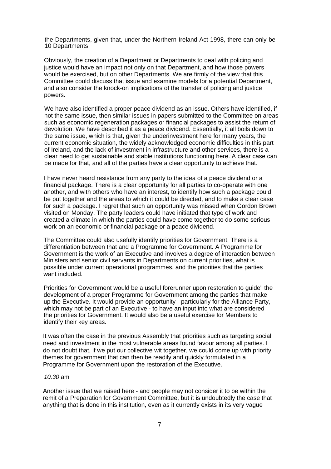the Departments, given that, under the Northern Ireland Act 1998, there can only be 10 Departments.

Obviously, the creation of a Department or Departments to deal with policing and justice would have an impact not only on that Department, and how those powers would be exercised, but on other Departments. We are firmly of the view that this Committee could discuss that issue and examine models for a potential Department, and also consider the knock-on implications of the transfer of policing and justice powers.

We have also identified a proper peace dividend as an issue. Others have identified, if not the same issue, then similar issues in papers submitted to the Committee on areas such as economic regeneration packages or financial packages to assist the return of devolution. We have described it as a peace dividend. Essentially, it all boils down to the same issue, which is that, given the underinvestment here for many years, the current economic situation, the widely acknowledged economic difficulties in this part of Ireland, and the lack of investment in infrastructure and other services, there is a clear need to get sustainable and stable institutions functioning here. A clear case can be made for that, and all of the parties have a clear opportunity to achieve that.

I have never heard resistance from any party to the idea of a peace dividend or a financial package. There is a clear opportunity for all parties to co-operate with one another, and with others who have an interest, to identify how such a package could be put together and the areas to which it could be directed, and to make a clear case for such a package. I regret that such an opportunity was missed when Gordon Brown visited on Monday. The party leaders could have initiated that type of work and created a climate in which the parties could have come together to do some serious work on an economic or financial package or a peace dividend.

The Committee could also usefully identify priorities for Government. There is a differentiation between that and a Programme for Government. A Programme for Government is the work of an Executive and involves a degree of interaction between Ministers and senior civil servants in Departments on current priorities, what is possible under current operational programmes, and the priorities that the parties want included.

Priorities for Government would be a useful forerunner upon restoration to guide" the development of a proper Programme for Government among the parties that make up the Executive. It would provide an opportunity - particularly for the Alliance Party, which may not be part of an Executive - to have an input into what are considered the priorities for Government. It would also be a useful exercise for Members to identify their key areas.

It was often the case in the previous Assembly that priorities such as targeting social need and investment in the most vulnerable areas found favour among all parties. I do not doubt that, if we put our collective wit together, we could come up with priority themes for government that can then be readily and quickly formulated in a Programme for Government upon the restoration of the Executive.

#### *10.30* am

Another issue that we raised here - and people may not consider it to be within the remit of a Preparation for Government Committee, but it is undoubtedly the case that anything that is done in this institution, even as it currently exists in its very vague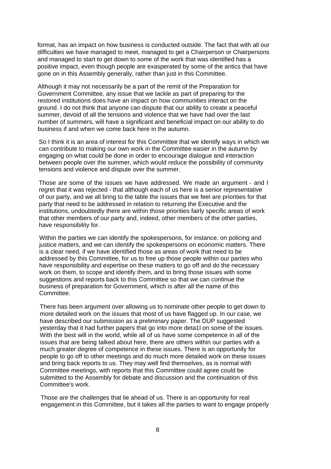format, has an impact on how business is conducted outside. The fact that with all our difficulties we have managed to meet, managed to get a Chairperson or Chairpersons and managed to start to get down to some of the work that was identified has a positive impact, even though people are exasperated by some of the antics that have gone on in this Assembly generally, rather than just in this Committee.

Although it may not necessarily be a part of the remit of the Preparation for Government Committee, any issue that we tackle as part of preparing for the restored institutions does have an impact on how communities interact on the ground. I do not think that anyone can dispute that our ability to create a peaceful summer, devoid of all the tensions and violence that we have had over the last number of summers, will have a significant and beneficial impact on our ability to do business if and when we come back here in the autumn.

So I think it is an area of interest for this Committee that we identify ways in which we can contribute to making our own work in the Committee easier in the autumn by engaging on what could be done in order to encourage dialogue and interaction between people over the summer, which would reduce the possibility of community tensions and violence and dispute over the summer.

Those are some of the issues we have addressed. We made an argument - and I regret that it was rejected - that although each of us here is a senior representative of our party, and we all bring to the table the issues that we feel are priorities for that party that need to be addressed in relation to returning the Executive and the institutions, undoubtedly there are within those priorities fairly specific areas of work that other members of our party and, indeed, other members of the other parties, have responsibility for.

Within the parties we can identify the spokespersons, for instance, on policing and justice matters, and we can identify the spokespersons on economic matters. There is a clear need, if we have identified those as areas of work that need to be addressed by this Committee, for us to free up those people within our parties who have responsibility and expertise on these matters to go off and do the necessary work on them, to scope and identify them, and to bring those issues with some suggestions and reports back to this Committee so that we can continue the business of preparation for Government, which is after all the name of this Committee.

There has been argument over allowing us to nominate other people to get down to more detailed work on the issues that most of us have flagged up. In our case, we have described our submission as a preliminary paper. The DUP suggested yesterday that it had further papers that go into more deta1l on some of the issues. With the best will in the world, while all of us have some competence in all of the issues that are being talked about here, there are others within our parties with a much greater degree of competence in these issues. There is an opportunity for people to go off to other meetings and do much more detailed work on these issues and bring back reports to us. They may well find themselves, as is normal with Committee meetings, with reports that this Committee could agree could be submitted to the Assembly for debate and discussion and the continuation of this Committee's work.

Those are the challenges that lie ahead of us. There is an opportunity for real engagement in this Committee, but it takes all the parties to want to engage properly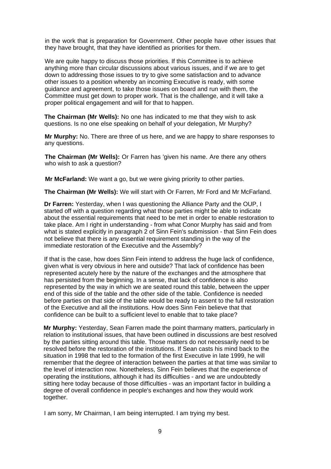in the work that is preparation for Government. Other people have other issues that they have brought, that they have identified as priorities for them.

We are quite happy to discuss those priorities. If this Committee is to achieve anything more than circular discussions about various issues, and if we are to get down to addressing those issues to try to give some satisfaction and to advance other issues to a position whereby an incoming Executive is ready, with some guidance and agreement, to take those issues on board and run with them, the Committee must get down to proper work. That is the challenge, and it will take a proper political engagement and will for that to happen.

**The Chairman (Mr Wells):** No one has indicated to me that they wish to ask questions. Is no one else speaking on behalf of your delegation, Mr Murphy?

**Mr Murphy:** No. There are three of us here, and we are happy to share responses to any questions.

**The Chairman (Mr Wells):** Or Farren has 'given his name. Are there any others who wish to ask a question?

**Mr McFarland:** We want a go, but we were giving priority to other parties.

**The Chairman (Mr Wells):** We will start with Or Farren, Mr Ford and Mr McFarland.

**Dr Farren:** Yesterday, when I was questioning the Alliance Party and the OUP, I started off with a question regarding what those parties might be able to indicate about the essential requirements that need to be met in order to enable restoration to take place. Am I right in understanding - from what Conor Murphy has said and from what is stated explicitly in paragraph 2 of Sinn Fein's submission - that Sinn Fein does not believe that there is any essential requirement standing in the way of the immediate restoration of the Executive and the Assembly?

If that is the case, how does Sinn Fein intend to address the huge lack of confidence, given what is very obvious in here and outside? That lack of confidence has been represented acutely here by the nature of the exchanges and the atmosphere that has persisted from the beginning. In a sense, that lack of confidence is also represented by the way in which we are seated round this table, between the upper end of this side of the table and the other side of the table. Confidence is needed before parties on that side of the table would be ready to assent to the full restoration of the Executive and all the institutions. How does Sinn Fein believe that that confidence can be built to a sufficient level to enable that to take place?

**Mr Murphy:** Yesterday, Sean Farren made the point tharmany matters, particularly in relation to institutional issues, that have been outlined in discussions are best resolved by the parties sitting around this table. Those matters do not necessarily need to be resolved before the restoration of the institutions. If Sean casts his mind back to the situation in 1998 that led to the formation of the first Executive in late 1999, he will remember that the degree of interaction between the parties at that time was similar to the level of interaction now. Nonetheless, Sinn Fein believes that the experience of operating the institutions, although it had its difficulties - and we are undoubtedly sitting here today because of those difficulties - was an important factor in building a degree of overall confidence in people's exchanges and how they would work together.

I am sorry, Mr Chairman, I am being interrupted. I am trying my best.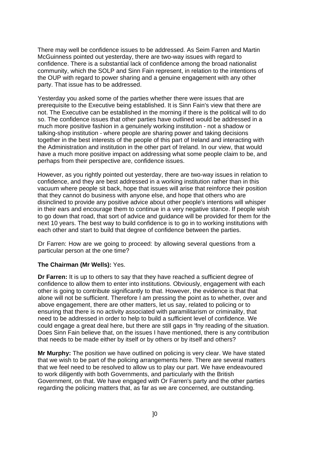There may well be confidence issues to be addressed. As Seim Farren and Martin McGuinness pointed out yesterday, there are two-way issues with regard to confidence. There is a substantial lack of confidence among the broad nationalist community, which the SOLP and Sinn Fain represent, in relation to the intentions of the OUP with regard to power sharing and a genuine engagement with any other party. That issue has to be addressed.

Yesterday you asked some of the parties whether there were issues that are prerequisite to the Executive being established. It is Sinn Fain's view that there are not. The Executive can be established in the morning if there is the political will to do so. The confidence issues that other parties have outlined would be addressed in a much more positive fashion in a genuinely working institution - not a shadow or talking-shop institution - where people are sharing power and taking decisions together in the best interests of the people of this part of Ireland and interacting with the Administration and institution in the other part of Ireland. In our view, that would have a much more positive impact on addressing what some people claim to be, and perhaps from their perspective are, confidence issues.

However, as you rightly pointed out yesterday, there are two-way issues in relation to confidence, and they are best addressed in a working institution rather than in this vacuum where people sit back, hope that issues will arise that reinforce their position that they cannot do business with anyone else, and hope that others who are disinclined to provide any positive advice about other people's intentions will whisper in their ears and encourage them to continue in a very negative stance. If people wish to go down that road, that sort of advice and guidance will be provided for them for the next 10 years. The best way to build confidence is to go in to working institutions with each other and start to build that degree of confidence between the parties.

Dr Farren: How are we going to proceed: by allowing several questions from a particular person at the one time?

#### **The Chairman (Mr Wells):** Yes.

**Dr Farren:** It is up to others to say that they have reached a sufficient degree of confidence to allow them to enter into institutions. Obviously, engagement with each other is going to contribute significantly to that. However, the evidence is that that alone will not be sufficient. Therefore I am pressing the point as to whether, over and above engagement, there are other matters, let us say, related to policing or to ensuring that there is no activity associated with paramilitarism or criminality, that need to be addressed in order to help to build a sufficient level of confidence. We could engage a great deal here, but there are still gaps in 'fny reading of the situation. Does Sinn Fain believe that, on the issues I have mentioned, there is any contribution that needs to be made either by itself or by others or by itself and others?

**Mr Murphy:** The position we have outlined on policing is very clear. We have stated that we wish to be part of the policing arrangements here. There are several matters that we feel need to be resolved to allow us to play our part. We have endeavoured to work diligently with both Governments, and particularly with the British Government, on that. We have engaged with Or Farren's party and the other parties regarding the policing matters that, as far as we are concerned, are outstanding.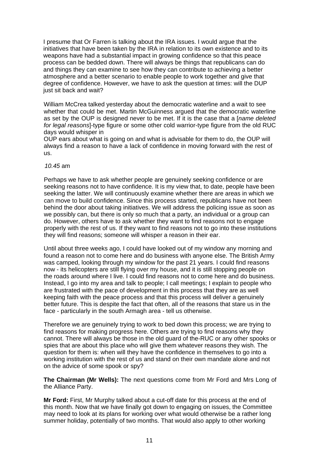I presume that Or Farren is talking about the IRA issues. I would argue that the initiatives that have been taken by the IRA in relation to its own existence and to its weapons have had a substantial impact in growing confidence so that this peace process can be bedded down. There will always be things that republicans can do and things they can examine to see how they can contribute to achieving a better atmosphere and a better scenario to enable people to work together and give that degree of confidence. However, we have to ask the question at times: will the DUP just sit back and wait?

William McCrea talked yesterday about the democratic waterline and a wait to see whether that could be met. Martin McGuinness argued that the democratic waterline as set by the OUP is designed never to be met. If it is the case that a [*name deleted for legal reasons*]-type figure or some other cold warrior-type figure from the old RUC days would whisper in

OUP ears about what is going on and what is advisable for them to do, the OUP will always find a reason to have a lack of confidence in moving forward with the rest of us.

#### *10.45* am

Perhaps we have to ask whether people are genuinely seeking confidence or are seeking reasons not to have confidence. It is my view that, to date, people have been seeking the latter. We will continuously examine whether there are areas in which we can move to build confidence. Since this process started, republicans have not been behind the door about taking initiatives. We will address the policing issue as soon as we possibly can, but there is only so much that a party, an individual or a group can do. However, others have to ask whether they want to find reasons not to engage properly with the rest of us. If they want to find reasons not to go into these institutions they will find reasons; someone will whisper a reason in their ear.

Until about three weeks ago, I could have looked out of my window any morning and found a reason not to come here and do business with anyone else. The British Army was camped, looking through my window for the past 21 years. I could find reasons now - its helicopters are still flying over my house, and it is still stopping people on the roads around where I live. I could find reasons not to come here and do business. Instead, I go into my area and talk to people; I call meetings; I explain to people who are frustrated with the pace of development in this process that they are as well keeping faith with the peace process and that this process will deliver a genuinely better future. This is despite the fact that often, all of the reasons that stare us in the face - particularly in the south Armagh area - tell us otherwise.

Therefore we are genuinely trying to work to bed down this process; we are trying to find reasons for making progress here. Others are trying to find reasons why they cannot. There will always be those in the old guard of the-RUC or any other spooks or spies that are about this place who will give them whatever reasons they wish. The question for them is: when will they have the confidence in themselves to go into a working institution with the rest of us and stand on their own mandate alone and not on the advice of some spook or spy?

**The Chairman (Mr Wells):** The next questions come from Mr Ford and Mrs Long of the Alliance Party.

**Mr Ford:** First, Mr Murphy talked about a cut-off date for this process at the end of this month. Now that we have finally got down to engaging on issues, the Committee may need to look at its plans for working over what would otherwise be a rather long summer holiday, potentially of two months. That would also apply to other working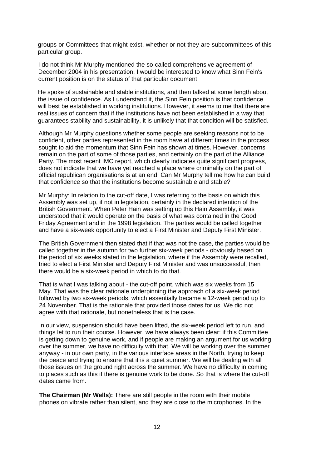groups or Committees that might exist, whether or not they are subcommittees of this particular group.

I do not think Mr Murphy mentioned the so-called comprehensive agreement of December 2004 in his presentation. I would be interested to know what Sinn Fein's current position is on the status of that particular document.

He spoke of sustainable and stable institutions, and then talked at some length about the issue of confidence. As I understand it, the Sinn Fein position is that confidence will best be established in working institutions. However, it seems to me that there are real issues of concern that if the institutions have not been established in a way that guarantees stability and sustainability, it is unlikely that that condition will be satisfied.

Although Mr Murphy questions whether some people are seeking reasons not to be confident, other parties represented in the room have at different times in the process sought to aid the momentum that Sinn Fein has shown at times. However, concerns remain on the part of some of those parties, and certainly on the part of the Alliance Party. The most recent IMC report, which clearly indicates quite significant progress, does not indicate that we have yet reached a place where criminality on the part of official republican organisations is at an end. Can Mr Murphy tell me how he can build that confidence so that the institutions become sustainable and stable?

Mr Murphy: In relation to the cut-off date, I was referring to the basis on which this Assembly was set up, if not in legislation, certainly in the declared intention of the British Government. When Peter Hain was setting up this Hain Assembly, it was understood that it would operate on the basis of what was contained in the Good Friday Agreement and in the 1998 legislation. The parties would be called together and have a six-week opportunity to elect a First Minister and Deputy First Minister.

The British Government then stated that if that was not the case, the parties would be called together in the autumn for two further six-week periods - obviously based on the period of six weeks stated in the legislation, where if the Assembly were recalled, tried to elect a First Minister and Deputy First Minister and was unsuccessful, then there would be a six-week period in which to do that.

That is what I was talking about - the cut-off point, which was six weeks from 15 May. That was the clear rationale underpinning the approach of a six-week period followed by two six-week periods, which essentially became a 12-week period up to 24 November. That is the rationale that provided those dates for us. We did not agree with that rationale, but nonetheless that is the case.

In our view, suspension should have been lifted, the six-week period left to run, and things let to run their course. However, we have always been clear: if this Committee is getting down to genuine work, and if people are making an argument for us working over the summer, we have no difficulty with that. We will be working over the summer anyway - in our own party, in the various interface areas in the North, trying to keep the peace and trying to ensure that it is a quiet summer. We will be dealing with all those issues on the ground right across the summer. We have no difficulty in coming to places such as this if there is genuine work to be done. So that is where the cut-off dates came from.

**The Chairman (Mr Wells):** There are still people in the room with their mobile phones on vibrate rather than silent, and they are close to the microphones. In the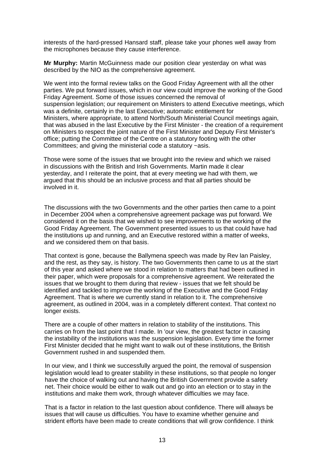interests of the hard-pressed Hansard staff, please take your phones well away from the microphones because they cause interference.

**Mr Murphy:** Martin McGuinness made our position clear yesterday on what was described by the NIO as the comprehensive agreement.

We went into the formal review talks on the Good Friday Agreement with all the other parties. We put forward issues, which in our view could improve the working of the Good Friday Agreement. Some of those issues concerned the removal of suspension legislation; our requirement on Ministers to attend Executive meetings, which was a definite, certainly in the last Executive; automatic entitlement for Ministers, where appropriate, to attend North/South Ministerial Council meetings again, that was abused in the last Executive by the First Minister - the creation of a requirement on Ministers to respect the joint nature of the First Minister and Deputy First Minister's office; putting the Committee of the Centre on a statutory footing with the other Committees; and giving the ministerial code a statutory ~asis.

Those were some of the issues that we brought into the review and which we raised in discussions with the British and Irish Governments. Martin made it clear yesterday, and I reiterate the point, that at every meeting we had with them, we argued that this should be an inclusive process and that all parties should be involved in it.

The discussions with the two Governments and the other parties then came to a point in December 2004 when a comprehensive agreement package was put forward. We considered it on the basis that we wished to see improvements to the working of the Good Friday Agreement. The Government presented issues to us that could have had the institutions up and running, and an Executive restored within a matter of weeks, and we considered them on that basis.

That context is gone, because the Ballymena speech was made by Rev lan Paisley, and the rest, as they say, is history. The two Governments then came to us at the start of this year and asked where we stood in relation to matters that had been outlined in their paper, which were proposals for a comprehensive agreement. We reiterated the issues that we brought to them during that review - issues that we felt should be identified and tackled to improve the working of the Executive and the Good Friday Agreement. That is where we currently stand in relation to it. The comprehensive agreement, as outlined in 2004, was in a completely different context. That context no longer exists.

There are a couple of other matters in relation to stability of the institutions. This carries on from the last point that I made. In 'our view, the greatest factor in causing the instability of the institutions was the suspension legislation. Every time the former First Minister decided that he might want to walk out of these institutions, the British Government rushed in and suspended them.

In our view, and I think we successfully argued the point, the removal of suspension legislation would lead to greater stability in these institutions, so that people no longer have the choice of walking out and having the British Government provide a safety net. Their choice would be either to walk out and go into an election or to stay in the institutions and make them work, through whatever difficulties we may face.

That is a factor in relation to the last question about confidence. There will always be issues that will cause us difficulties. You have to examine whether genuine and strident efforts have been made to create conditions that will grow confidence. I think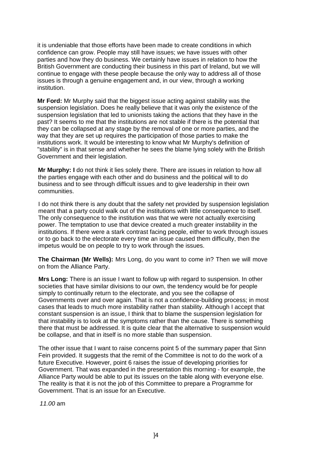it is undeniable that those efforts have been made to create conditions in which confidence can grow. People may still have issues; we have issues with other parties and how they do business. We certainly have issues in relation to how the British Government are conducting their business in this part of Ireland, but we will continue to engage with these people because the only way to address all of those issues is through a genuine engagement and, in our view, through a working institution.

**Mr Ford:** Mr Murphy said that the biggest issue acting against stability was the suspension legislation. Does he really believe that it was only the existence of the suspension legislation that led to unionists taking the actions that they have in the past? It seems to me that the institutions are not stable if there is the potential that they can be collapsed at any stage by the removal of one or more parties, and the way that they are set up requires the participation of those parties to make the institutions work. It would be interesting to know what Mr Murphy's definition of "stability" is in that sense and whether he sees the blame lying solely with the British Government and their legislation.

**Mr Murphy: I** do not think it lies solely there. There are issues in relation to how all the parties engage with each other and do business and the political will to do business and to see through difficult issues and to give leadership in their own communities.

I do not think there is any doubt that the safety net provided by suspension legislation meant that a party could walk out of the institutions with little consequence to itself. The only consequence to the institution was that we were not actually exercising power. The temptation to use that device created a much greater instability in the institutions. If there were a stark contrast facing people, either to work through issues or to go back to the electorate every time an issue caused them difficulty, then the impetus would be on people to try to work through the issues.

**The Chairman (Mr Wells):** Mrs Long, do you want to come in? Then we will move on from the Alliance Party.

**Mrs Long:** There is an issue I want to follow up with regard to suspension. In other societies that have similar divisions to our own, the tendency would be for people simply to continually return to the electorate, and you see the collapse of Governments over and over again. That is not a confidence-building process; in most cases that leads to much more instability rather than stability. Although I accept that constant suspension is an issue, I think that to blame the suspension legislation for that instability is to look at the symptoms rather than the cause. There is something there that must be addressed. It is quite clear that the alternative to suspension would be collapse, and that in itself is no more stable than suspension.

The other issue that I want to raise concerns point 5 of the summary paper that Sinn Fein provided. It suggests that the remit of the Committee is not to do the work of a future Executive. However, point 6 raises the issue of developing priorities for Government. That was expanded in the presentation this morning - for example, the Alliance Party would be able to put its issues on the table along with everyone else. The reality is that it is not the job of this Committee to prepare a Programme for Government. That is an issue for an Executive.

*11.00* am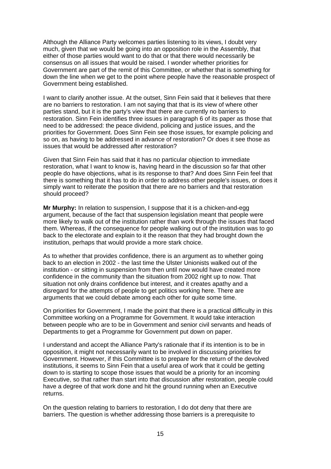Although the Alliance Party welcomes parties listening to its views, I doubt very much, given that we would be going into an opposition role in the Assembly, that either of those parties would want to do that or that there would necessarily be consensus on all issues that would be raised. I wonder whether priorities for Government are part of the remit of this Committee, or whether that is something for down the line when we get to the point where people have the reasonable prospect of Government being established.

I want to clarify another issue. At the outset, Sinn Fein said that it believes that there are no barriers to restoration. I am not saying that that is its view of where other parties stand, but it is the party's view that there are currently no barriers to restoration. Sinn Fein identifies three issues in paragraph 6 of its paper as those that need to be addressed: the peace dividend, policing and justice issues, and the priorities for Government. Does Sinn Fein see those issues, for example policing and so on, as having to be addressed in advance of restoration? Or does it see those as issues that would be addressed after restoration?

Given that Sinn Fein has said that it has no particular objection to immediate restoration, what I want to know is, having heard in the discussion so far that other people do have objections, what is its response to that? And does Sinn Fein feel that there is something that it has to do in order to address other people's issues, or does it simply want to reiterate the position that there are no barriers and that restoration should proceed?

**Mr Murphy:** In relation to suspension, I suppose that it is a chicken-and-egg argument, because of the fact that suspension legislation meant that people were more likely to walk out of the institution rather than work through the issues that faced them. Whereas, if the consequence for people walking out of the institution was to go back to the electorate and explain to it the reason that they had brought down the institution, perhaps that would provide a more stark choice.

As to whether that provides confidence, there is an argument as to whether going back to an election in 2002 - the last time the Ulster Unionists walked out of the institution - or sitting in suspension from then until now would have created more confidence in the community than the situation from 2002 right up to now. That situation not only drains confidence but interest, and it creates apathy and a disregard for the attempts of people to get politics working here. There are arguments that we could debate among each other for quite some time.

On priorities for Government, I made the point that there is a practical difficulty in this Committee working on a Programme for Government. It would take interaction between people who are to be in Government and senior civil servants and heads of Departments to get a Programme for Government put down on paper.

I understand and accept the Alliance Party's rationale that if its intention is to be in opposition, it might not necessarily want to be involved in discussing priorities for Government. However, if this Committee is to prepare for the return of the devolved institutions, it seems to Sinn Fein that a useful area of work that it could be getting down to is starting to scope those issues that would be a priority for an incoming Executive, so that rather than start into that discussion after restoration, people could have a degree of that work done and hit the ground running when an Executive returns.

On the question relating to barriers to restoration, I do dot deny that there are barriers. The question is whether addressing those barriers is a prerequisite to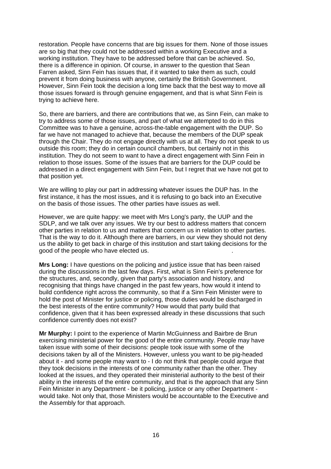restoration. People have concerns that are big issues for them. None of those issues are so big that they could not be addressed within a working Executive and a working institution. They have to be addressed before that can be achieved. So, there is a difference in opinion. Of course, in answer to the question that Sean Farren asked, Sinn Fein has issues that, if it wanted to take them as such, could prevent it from doing business with anyone, certainly the British Government. However, Sinn Fein took the decision a long time back that the best way to move all those issues forward is through genuine engagement, and that is what Sinn Fein is trying to achieve here.

So, there are barriers, and there are contributions that we, as Sinn Fein, can make to try to address some of those issues, and part of what we attempted to do in this Committee was to have a genuine, across-the-table engagement with the DUP. So far we have not managed to achieve that, because the members of the DUP speak through the Chair. They do not engage directly with us at all. They do not speak to us outside this room; they do in certain council chambers, but certainly not in this institution. They do not seem to want to have a direct engagement with Sinn Fein in relation to those issues. Some of the issues that are barriers for the DUP could be addressed in a direct engagement with Sinn Fein, but I regret that we have not got to that position yet.

We are willing to play our part in addressing whatever issues the DUP has. In the first instance, it has the most issues, and it is refusing to go back into an Executive on the basis of those issues. The other parties have issues as well.

However, we are quite happy: we meet with Mrs Long's party, the UUP and the SDLP, and we talk over any issues. We try our best to address matters that concern other parties in relation to us and matters that concern us in relation to other parties. That is the way to do it. Although there are barriers, in our view they should not deny us the ability to get back in charge of this institution and start taking decisions for the good of the people who have elected us. .

**Mrs Long:** I have questions on the policing and justice issue that has been raised during the discussions in the last few days. First, what is Sinn Fein's preference for the structures, and, secondly, given that party's association and history, and recognising that things have changed in the past few years, how would it intend to build confidence right across the community, so that if a Sinn Fein Minister were to hold the post of Minister for justice or policing, those duties would be discharged in the best interests of the entire community? How would that party build that confidence, given that it has been expressed already in these discussions that such confidence currently does not exist?

**Mr Murphy:** I point to the experience of Martin McGuinness and Bairbre de Brun exercising ministerial power for the good of the entire community. People may have taken issue with some of their decisions: people took issue with some of the decisions taken by all of the Ministers. However, unless you want to be pig-headed about it - and some people may want to - I do not think that people could argue that they took decisions in the interests of one community rather than the other. They looked at the issues, and they operated their ministerial authority to the best of their ability in the interests of the entire community, and that is the approach that any Sinn Fein Minister in any Department - be it policing, justice or any other Department would take. Not only that, those Ministers would be accountable to the Executive and the Assembly for that approach.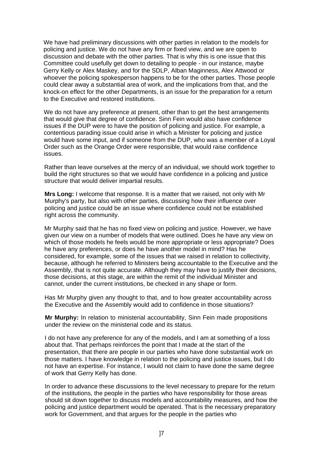We have had preliminary discussions with other parties in relation to the models for policing and justice. We do not have any firm or fixed view, and we are open to discussion and debate with the other parties. That is why this is one issue that this Committee could usefully get down to detailing to people - in our instance, maybe Gerry Kelly or Alex Maskey, and for the SDLP, Alban Maginness, Alex Attwood or whoever the policing spokesperson happens to be for the other parties. Those people could clear away a substantial area of work, and the implications from that, and the knock-on effect for the other Departments, is an issue for the preparation for a return to the Executive and restored institutions.

We do not have any preference at present, other than to get the best arrangements that would give that degree of confidence. Sinn Fein would also have confidence issues if the DUP were to have the position of policing and justice. For example, a contentious parading issue could arise in which a Minister for policing and justice would have some input, and if someone from the DUP, who was a member of a Loyal Order such as the Orange Order were responsible, that would raise confidence issues.

Rather than leave ourselves at the mercy of an individual, we should work together to build the right structures so that we would have confidence in a policing and justice structure that would deliver impartial results.

**Mrs Long:** I welcome that response. It is a matter that we raised, not only with Mr Murphy's party, but also with other parties, discussing how their influence over policing and justice could be an issue where confidence could not be established right across the community.

Mr Murphy said that he has no fixed view on policing and justice. However, we have given our view on a number of models that were outlined. Does he have any view on which of those models he feels would be more appropriate or less appropriate? Does he have any preferences, or does he have another model in mind? Has he considered, for example, some of the issues that we raised in relation to collectivity, because, although he referred to Ministers being accountable to the Executive and the Assembly, that is not quite accurate. Although they may have to justify their decisions, those decisions, at this stage, are within the remit of the individual Minister and cannot, under the current institutions, be checked in any shape or form.

Has Mr Murphy given any thought to that, and to how greater accountability across the Executive and the Assembly would add to confidence in those situations?

**Mr Murphy:** In relation to ministerial accountability, Sinn Fein made propositions under the review on the ministerial code and its status.

I do not have any preference for any of the models, and I am at something of a loss about that. That perhaps reinforces the point that I made at the start of the presentation, that there are people in our parties who have done substantial work on those matters. I have knowledge in relation to the policing and justice issues, but I do not have an expertise. For instance, I would not claim to have done the same degree of work that Gerry Kelly has done.

In order to advance these discussions to the level necessary to prepare for the return of the institutions, the people in the parties who have responsibility for those areas should sit down together to discuss models and accountability measures, and how the policing and justice department would be operated. That is the necessary preparatory work for Government, and that argues for the people in the parties who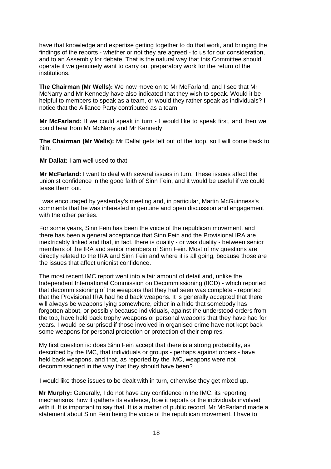have that knowledge and expertise getting together to do that work, and bringing the findings of the reports - whether or not they are agreed - to us for our consideration, and to an Assembly for debate. That is the natural way that this Committee should operate if we genuinely want to carry out preparatory work for the return of the institutions.

**The Chairman (Mr Wells):** We now move on to Mr McFarland, and I see that Mr McNarry and Mr Kennedy have also indicated that they wish to speak. Would it be helpful to members to speak as a team, or would they rather speak as individuals? I notice that the Alliance Party contributed as a team.

**Mr McFarland:** If we could speak in turn - I would like to speak first, and then we could hear from Mr McNarry and Mr Kennedy.

**The Chairman (Mr Wells):** Mr Dallat gets left out of the loop, so I will come back to him.

**Mr Dallat:** I am well used to that.

**Mr McFarland:** I want to deal with several issues in turn. These issues affect the unionist confidence in the good faith of Sinn Fein, and it would be useful if we could tease them out.

I was encouraged by yesterday's meeting and, in particular, Martin McGuinness's comments that he was interested in genuine and open discussion and engagement with the other parties.

For some years, Sinn Fein has been the voice of the republican movement, and there has been a general acceptance that Sinn Fein and the Provisional IRA are inextricably linked and that, in fact, there is duality - or was duality - between senior members of the IRA and senior members of Sinn Fein. Most of my questions are directly related to the IRA and Sinn Fein and where it is all going, because those are the issues that affect unionist confidence.

The most recent IMC report went into a fair amount of detail and, unlike the Independent International Commission on Decommissioning (IICD) - which reported that decommissioning of the weapons that they had seen was complete - reported that the Provisional IRA had held back weapons. It is generally accepted that there will always be weapons lying somewhere, either in a hide that somebody has forgotten about, or possibly because individuals, against the understood orders from the top, have held back trophy weapons or personal weapons that they have had for years. I would be surprised if those involved in organised crime have not kept back some weapons for personal protection or protection of their empires.

My first question is: does Sinn Fein accept that there is a strong probability, as described by the IMC, that individuals or groups - perhaps against orders - have held back weapons, and that, as reported by the IMC, weapons were not decommissioned in the way that they should have been?

I would like those issues to be dealt with in turn, otherwise they get mixed up.

**Mr Murphy:** Generally, I do not have any confidence in the IMC, its reporting mechanisms, how it gathers its evidence, how it reports or the individuals involved with it. It is important to say that. It is a matter of public record. Mr McFarland made a statement about Sinn Fein being the voice of the republican movement. I have to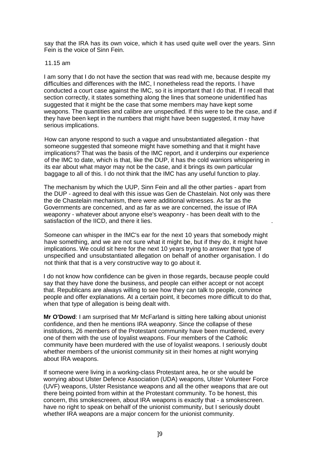say that the IRA has its own voice, which it has used quite well over the years. Sinn Fein is the voice of Sinn Fein.

#### 11.15 am

I am sorry that I do not have the section that was read with me, because despite my difficulties and differences with the IMC, I nonetheless read the reports. I have conducted a court case against the IMC, so it is important that I do that. If I recall that section correctly, it states something along the lines that someone unidentified has suggested that it might be the case that some members may have kept some weapons. The quantities and calibre are unspecified. If this were to be the case, and if they have been kept in the numbers that might have been suggested, it may have serious implications.

How can anyone respond to such a vague and unsubstantiated allegation - that someone suggested that someone might have something and that it might have implications? That was the basis of the IMC report, and it underpins our experience of the IMC to date, which is that, like the DUP, it has the cold warriors whispering in its ear about what mayor may not be the case, and it brings its own particular baggage to all of this. I do not think that the IMC has any useful function to play.

The mechanism by which the UUP, Sinn Fein and all the other parties - apart from the DUP - agreed to deal with this issue was Gen de Chastelain. Not only was there the de Chastelain mechanism, there were additional witnesses. As far as the Governments are concerned, and as far as we are concerned, the issue of IRA weaponry - whatever about anyone else's weaponry - has been dealt with to the satisfaction of the IICD, and there it lies.

Someone can whisper in the IMC's ear for the next 10 years that somebody might have something, and we are not sure what it might be, but if they do, it might have implications. We could sit here for the next 10 years trying to answer that type of unspecified and unsubstantiated allegation on behalf of another organisation. I do not think that that is a very constructive way to go about it.

I do not know how confidence can be given in those regards, because people could say that they have done the business, and people can either accept or not accept that. Republicans are always willing to see how they can talk to people, convince people and offer explanations. At a certain point, it becomes more difficult to do that, when that type of allegation is being dealt with.

**Mr O'Dowd**: I am surprised that Mr McFarland is sitting here talking about unionist confidence, and then he mentions IRA weaponry. Since the collapse of these institutions, 26 members of the Protestant community have been murdered, every one of them with the use of loyalist weapons. Four members of the Catholic community have been murdered with the use of loyalist weapons. I seriously doubt whether members of the unionist community sit in their homes at night worrying about IRA weapons.

If someone were living in a working-class Protestant area, he or she would be worrying about Ulster Defence Association (UDA) weapons, Ulster Volunteer Force (UVF) weapons, Ulster Resistance weapons and all the other weapons that are out there being pointed from within at the Protestant community. To be honest, this concern, this smokescreeen, about IRA weapons is exactly that - a smokescreen. have no right to speak on behalf of the unionist community, but I seriously doubt whether IRA weapons are a major concern for the unionist community.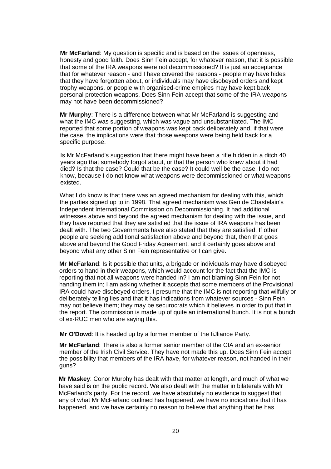**Mr McFarland**: My question is specific and is based on the issues of openness, honesty and good faith. Does Sinn Fein accept, for whatever reason, that it is possible that some of the IRA weapons were not decommissioned? It is just an acceptance that for whatever reason - and I have covered the reasons - people may have hides that they have forgotten about, or individuals may have disobeyed orders and kept trophy weapons, or people with organised-crime empires may have kept back personal protection weapons. Does Sinn Fein accept that some of the IRA weapons may not have been decommissioned?

**Mr Murphy**: There is a difference between what Mr McFarland is suggesting and what the IMC was suggesting, which was vague and unsubstantiated. The IMC reported that some portion of weapons was kept back deliberately and, if that were the case, the implications were that those weapons were being held back for a specific purpose.

Is Mr McFarland's suggestion that there might have been a rifle hidden in a ditch 40 years ago that somebody forgot about, or that the person who knew about it had died? Is that the case? Could that be the case? It could well be the case. I do not know, because I do not know what weapons were decommissioned or what weapons existed.

What I do know is that there was an agreed mechanism for dealing with this, which the parties signed up to in 1998. That agreed mechanism was Gen de Chastelain's Independent International Commission on Decommissioning. It had additional witnesses above and beyond the agreed mechanism for dealing with the issue, and they have reported that they are satisfied that the issue of IRA weapons has been dealt with. The two Governments have also stated that they are satisfied. If other people are seeking additional satisfaction above and beyond that, then that goes above and beyond the Good Friday Agreement, and it certainly goes above and beyond what any other Sinn Fein representative or I can give.

**Mr McFarland**: Is it possible that units, a brigade or individuals may have disobeyed orders to hand in their weapons, which would account for the fact that the IMC is reporting that not all weapons were handed in? I am not blaming Sinn Fein for not handing them in; I am asking whether it accepts that some members of the Provisional IRA could have disobeyed orders. I presume that the IMC is not reporting that wilfully or deliberately telling lies and that it has indications from whatever sources - Sinn Fein may not believe them; they may be securocrats which it believes in order to put that in the report. The commission is made up of quite an international bunch. It is not a bunch of ex-RUC men who are saying this.

**Mr O'Dowd**: It is headed up by a former member of the fiJliance Party.

**Mr McFarland**: There is also a former senior member of the CIA and an ex-senior member of the Irish Civil Service. They have not made this up. Does Sinn Fein accept the possibility that members of the IRA have, for whatever reason, not handed in their guns?

**Mr Maskey**: Conor Murphy has dealt with that matter at length, and much of what we have said is on the public record. We also dealt with the matter in bilaterals with Mr McFarland's party. For the record, we have absolutely no evidence to suggest that any of what Mr McFarland outlined has happened, we have no indications that it has happened, and we have certainly no reason to believe that anything that he has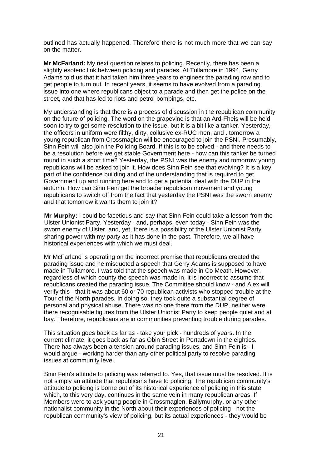outlined has actually happened. Therefore there is not much more that we can say on the matter.

**Mr McFarland:** My next question relates to policing. Recently, there has been a slightly esoteric link between policing and parades. At Tullamore in 1994, Gerry Adams told us that it had taken him three years to engineer the parading row and to get people to turn out. In recent years, it seems to have evolved from a parading issue into one where republicans object to a parade and then get the police on the street, and that has led to riots and petrol bombings, etc.

My understanding is that there is a process of discussion in the republican community on the future of policing. The word on the grapevine is that an Ard-Fheis will be held soon to try to get some resolution to the issue, but it is a bit like a tanker. Yesterday, the officers in uniform were filthy, dirty, collusive ex-RUC men, and . tomorrow a young republican from Crossmaglen will be encouraged to join the PSNI. Presumably, Sinn Fein will also join the Policing Board. If this is to be solved - and there needs to be a resolution before we get stable Government here - how can this tanker be turned round in such a short time? Yesterday, the PSNI was the enemy and tomorrow young republicans will be asked to join it. How does Sinn Fein see that evolving? It is a key part of the confidence building and of the understanding that is required to get Government up and running here and to get a potential deal with the DUP in the autumn. How can Sinn Fein get the broader republican movement and young republicans to switch off from the fact that yesterday the PSNI was the sworn enemy and that tomorrow it wants them to join it?

**Mr Murphy:** I could be facetious and say that Sinn Fein could take a lesson from the Ulster Unionist Party. Yesterday - and, perhaps, even today - Sinn Fein was the sworn enemy of Ulster, and, yet, there is a possibility of the Ulster Unionist Party sharing power with my party as it has done in the past. Therefore, we all have historical experiences with which we must deal.

Mr McFarland is operating on the incorrect premise that republicans created the parading issue and he misquoted a speech that Gerry Adams is supposed to have made in Tullamore. I was told that the speech was made in Co Meath. However, regardless of which county the speech was made in, it is incorrect to assume that republicans created the parading issue. The Committee should know - and Alex will verify this - that it was about 60 or 70 republican activists who stopped trouble at the Tour of the North parades. In doing so, they took quite a substantial degree of personal and physical abuse. There was no one there from the DUP, neither were there recognisable figures from the Ulster Unionist Party to keep people quiet and at bay. Therefore, republicans are in communities preventing trouble during parades.

This situation goes back as far as - take your pick - hundreds of years. In the current climate, it goes back as far as Obin Street in Portadown in the eighties. There has always been a tension around parading issues, and Sinn Fein is - I would argue - working harder than any other political party to resolve parading issues at community level.

Sinn Fein's attitude to policing was referred to. Yes, that issue must be resolved. It is not simply an attitude that republicans have to policing. The republican community's attitude to policing is borne out of its historical experience of policing in this state, which, to this very day, continues in the same vein in many republican areas. If Members were to ask young people in Crossmaglen, Ballymurphy, or any other nationalist community in the North about their experiences of policing - not the republican community's view of policing, but its actual experiences - they would be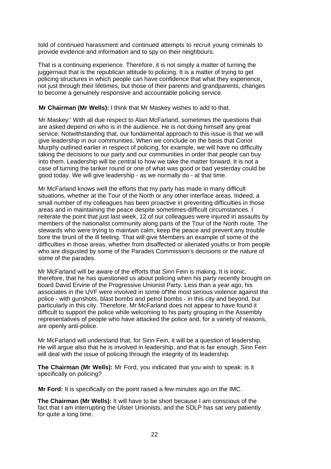told of continued harassment and continued attempts to recruit young criminals to provide evidence and information and to spy on their neighbours.

That is a continuing experience. Therefore, it is not simply a matter of turning the juggernaut that is the republican attitude to policing. It is a matter of trying to get policing structures in which people can have confidence that what they experience, not just through their lifetimes, but those of their parents and grandparents, changes to become a genuinely responsive and accountable policing service.

#### **Mr Chairman (Mr Wells):** I think that Mr Maskey wishes to add to that.

Mr Maskey:' With all due respect to Alan McFarland, sometimes the questions that are asked depend on who is in the audience. He is not doing himself any great service. Notwithstanding that, our fundamental approach to this issue is that we will give leadership in our communities. When we conclude on the basis that Conor Murphy outlined earlier in respect of policing, for example, we will have no difficulty taking the decisions to our party and our communities in order that people can buy into them. Leadership will be central to how we take the matter forward. It is not a case of turning the tanker round or one of what was good or bad yesterday could be good today. We will give leadership - as we normally do - at that time.

Mr McFarland knows well the efforts that my party has made in many difficult situations, whether at the Tour of the North or any other interface areas. Indeed, a small number of my colleagues has been proactive in preventing difficulties in those areas and in maintaining the peace despite sometimes-difficult circumstances. I reiterate the point that just last week, 12 of our colleagues were injured in assaults by members of the nationalist community along parts of the Tour of the North route. The stewards who were trying to maintain calm, keep the peace and prevent any trouble bore the brunt of the ill feeling. That will give Members an example of some of the difficulties in those areas, whether from disaffected or alienated youths or from people who are disgusted by some of the Parades Commission's decisions or the nature of some of the parades.

Mr McFarland will be aware of the efforts that Sinn Fein is making. It is ironic, therefore, that he has questioned us about policing when his party recently brought on board David Ervine of the Progressive Unionist Party. Less than a year ago, his associates in the UVF were involved in some of'the most serious violence against the police - with gunshots, blast bombs and petrol bombs - in this city and beyond, but particularly in this city. Therefore, Mr McFarland does not appear to have found it difficult to support the police while welcoming to his party grouping in the Assembly representatives of people who have attacked the police and, for a variety of reasons, are openly anti-police.

Mr McFarland will understand that, for Sinn Fein, it will be a question of leadership. He will argue also that he is involved in leadership, and that is fair enough. Sinn Fein will deal with the issue of policing through the integrity of its leadership.

**The Chairman (Mr Wells):** Mr Ford, you indicated that you wish to speak: is it specifically on policing?

**Mr Ford:** It is specifically on the point raised a few minutes ago on the IMC.

**The Chairman (Mr Wells):** It will have to be short because I am conscious of the fact that I am interrupting the Ulster Unionists, and the SDLP has sat very patiently for quite a long time.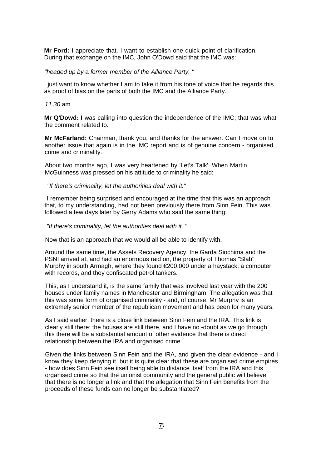**Mr Ford:** I appreciate that. I want to establish one quick point of clarification. During that exchange on the IMC, John O'Dowd said that the IMC was:

#### *"headed up by* a *former member of the Alliance Party. "*

I just want to know whether I am to take it from his tone of voice that he regards this as proof of bias on the parts of both the IMC and the Alliance Party.

#### *11.30* am

**Mr Q'Dowd: I** was calling into question the independence of the IMC; that was what the comment related to.

**Mr McFarland:** Chairman, thank you, and thanks for the answer. Can I move on to another issue that again is in the IMC report and is of genuine concern - organised crime and criminality.

About two months ago, I was very heartened by 'Let's Talk'. When Martin McGuinness was pressed on his attitude to criminality he said:

#### *"If there's criminality, let the authorities deal with it."*

I remember being surprised and encouraged at the time that this was an approach that, to my understanding, had not been previously there from Sinn Fein. This was followed a few days later by Gerry Adams who said the same thing:

*"If there's criminality, let the authorities deal with it. "* 

Now that is an approach that we would all be able to identify with.

Around the same time, the Assets Recovery Agency, the Garda Siochima and the PSNI arrived at, and had an enormous raid on, the property of Thomas "Slab" Murphy in south Armagh, where they found €200,000 under a haystack, a computer with records, and they confiscated petrol tankers.

This, as I understand it, is the same family that was involved last year with the 200 houses under family names in Manchester and Birmingham. The allegation was that this was some form of organised criminality - and, of course, Mr Murphy is an extremely senior member of the republican movement and has been for many years.

As I said earlier, there is a close link between Sinn Fein and the IRA. This link is clearly still there: the houses are still there, and I have no -doubt as we go through this there will be a substantial amount of other evidence that there is direct relationship between the IRA and organised crime.

Given the links between Sinn Fein and the IRA, and given the clear evidence - and I know they keep denying it, but it is quite clear that these are organised crime empires - how does Sinn Fein see itself being able to distance itself from the IRA and this organised crime so that the unionist community and the general public will believe that there is no longer a link and that the allegation that Sinn Fein benefits from the proceeds of these funds can no longer be substantiated?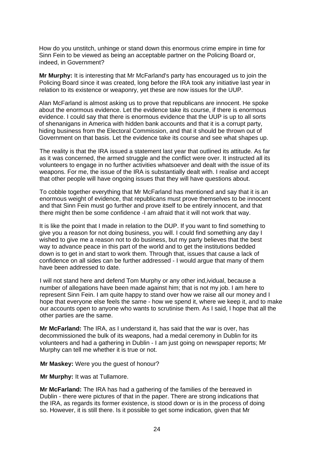How do you unstitch, unhinge or stand down this enormous crime empire in time for Sinn Fein to be viewed as being an acceptable partner on the Policing Board or, indeed, in Government?

**Mr Murphy:** It is interesting that Mr McFarland's party has encouraged us to join the Policing Board since it was created, long before the IRA took any initiative last year in relation to its existence or weaponry, yet these are now issues for the UUP.

Alan McFarland is almost asking us to prove that republicans are innocent. He spoke about the enormous evidence. Let the evidence take its course, if there is enormous evidence. I could say that there is enormous evidence that the UUP is up to all sorts of shenanigans in America with hidden bank accounts and that it is a corrupt party, hiding business from the Electoral Commission, and that it should be thrown out of Government on that basis. Let the evidence take its course and see what shapes up.

The reality is that the IRA issued a statement last year that outlined its attitude. As far as it was concerned, the armed struggle and the conflict were over. It instructed all its volunteers to engage in no further activities whatsoever and dealt with the issue of its weapons. For me, the issue of the IRA is substantially dealt with. I realise and accept that other people will have ongoing issues that they will have questions about.

To cobble together everything that Mr McFarland has mentioned and say that it is an enormous weight of evidence, that republicans must prove themselves to be innocent and that Sinn Fein must go further and prove itself to be entirely innocent, and that there might then be some confidence -I am afraid that it will not work that way.

It is like the point that I made in relation to the DUP. If you want to find something to give you a reason for not doing business, you will. I could find something any day I wished to give me a reason not to do business, but my party believes that the best way to advance peace in this part of the world and to get the institutions bedded down is to get in and start to work them. Through that, issues that cause a lack of confidence on all sides can be further addressed - I would argue that many of them have been addressed to date.

I will not stand here and defend Tom Murphy or any other ind,ividual, because a number of allegations have been made against him; that is not my job. I am here to represent Sinn Fein. I am quite happy to stand over how we raise all our money and I hope that everyone else feels the same - how we spend it, where we keep it, and to make our accounts open to anyone who wants to scrutinise them. As I said, I hope that all the other parties are the same.

**Mr McFarland:** The IRA, as I understand it, has said that the war is over, has decommissioned the bulk of its weapons, had a medal ceremony in Dublin for its volunteers and had a gathering in Dublin - I am just going on newspaper reports; Mr Murphy can tell me whether it is true or not.

**Mr Maskey:** Were you the guest of honour?

**Mr Murphy:** It was at Tullamore.

**Mr McFarland:** The IRA has had a gathering of the families of the bereaved in Dublin - there were pictures of that in the paper. There are strong indications that the IRA, as regards its former existence, is stood down or is in the process of doing so. However, it is still there. Is it possible to get some indication, given that Mr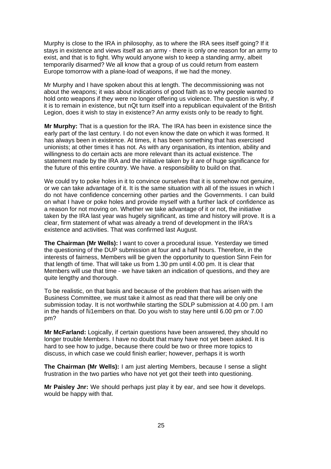Murphy is close to the IRA in philosophy, as to where the IRA sees itself going? If it stays in existence and views itself as an army - there is only one reason for an army to exist, and that is to fight. Why would anyone wish to keep a standing army, albeit temporarily disarmed? We all know that a group of us could return from eastern Europe tomorrow with a plane-load of weapons, if we had the money.

Mr Murphy and I have spoken about this at length. The decommissioning was not about the weapons; it was about indications of good faith as to why people wanted to hold onto weapons if they were no longer offering us violence. The question is why, if it is to remain in existence, but nQt turn itself into a republican equivalent of the British Legion, does it wish to stay in existence? An army exists only to be ready to fight.

**Mr Murphy:** That is a question for the IRA. The IRA has been in existence since the early part of the last century. I do not even know the date on which it was formed. It has always been in existence. At times, it has been something that has exercised unionists; at other times it has not. As with any organisation, its intention, ability and willingness to do certain acts are more relevant than its actual existence. The statement made by the IRA and the initiative taken by it are of huge significance for the future of this entire country. We have. a responsibility to build on that.

We could try to poke holes in it to convince ourselves that it is somehow not genuine, or we can take advantage of it. It is the same situation with all of the issues in which I do not have confidence concerning other parties and the Governments. I can build on what I have or poke holes and provide myself with a further lack of confidence as a reason for not moving on. Whether we take advantage of it or not, the initiative taken by the IRA last year was hugely significant, as time and history will prove. It is a clear, firm statement of what was already a trend of development in the IRA's existence and activities. That was confirmed last August.

**The Chairman (Mr Wells):** I want to cover a procedural issue. Yesterday we timed the questioning of the DUP submission at four and a half hours. Therefore, in the interests of fairness, Members will be given the opportunity to question Sinn Fein for that length of time. That will take us from 1.30 pm until 4.00 pm. It is clear that Members will use that time - we have taken an indication of questions, and they are quite lengthy and thorough.

To be realistic, on that basis and because of the problem that has arisen with the Business Committee, we must take it almost as read that there will be only one submission today. It is not worthwhile starting the SDLP submission at 4.00 pm. I am in the hands of l\i1embers on that. Do you wish to stay here until 6.00 pm or 7.00 pm?

**Mr McFarland:** Logically, if certain questions have been answered, they should no longer trouble Members. I have no doubt that many have not yet been asked. It is hard to see how to judge, because there could be two or three more topics to discuss, in which case we could finish earlier; however, perhaps it is worth

**The Chairman (Mr Wells):** I am just alerting Members, because I sense a slight frustration in the two parties who have not yet got their teeth into questioning.

**Mr Paisley Jnr:** We should perhaps just play it by ear, and see how it develops. would be happy with that.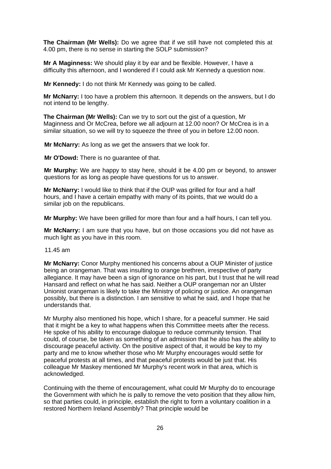**The Chairman (Mr Wells):** Do we agree that if we still have not completed this at 4.00 pm, there is no sense in starting the SOLP submission?

**Mr A Maginness:** We should play it by ear and be flexible. However, I have a difficulty this afternoon, and I wondered if I could ask Mr Kennedy a question now.

**Mr Kennedy:** I do not think Mr Kennedy was going to be called.

**Mr McNarry:** I too have a problem this afternoon. It depends on the answers, but I do not intend to be lengthy.

**The Chairman (Mr Wells):** Can we try to sort out the gist of a question, Mr Maginness and Or McCrea, before we all adjourn at 12.00 noon? Or McCrea is in a similar situation, so we will try to squeeze the three of you in before 12.00 noon.

**Mr McNarry:** As long as we get the answers that we look for.

**Mr O'Dowd:** There is no guarantee of that.

**Mr Murphy:** We are happy to stay here, should it be 4.00 pm or beyond, to answer questions for as long as people have questions for us to answer.

**Mr McNarry:** I would like to think that if the OUP was grilled for four and a half hours, and I have a certain empathy with many of its points, that we would do a similar job on the republicans.

**Mr Murphy:** We have been grilled for more than four and a half hours, I can tell you.

**Mr McNarry:** I am sure that you have, but on those occasions you did not have as much light as you have in this room.

11.45 am

**Mr McNarry:** Conor Murphy mentioned his concerns about a OUP Minister of justice being an orangeman. That was insulting to orange brethren, irrespective of party allegiance. It may have been a sign of ignorance on his part, but I trust that he will read Hansard and reflect on what he has said. Neither a OUP orangeman nor an Ulster Unionist orangeman is likely to take the Ministry of policing or justice. An orangeman possibly, but there is a distinction. I am sensitive to what he said, and I hope that he understands that.

Mr Murphy also mentioned his hope, which I share, for a peaceful summer. He said that it might be a key to what happens when this Committee meets after the recess. He spoke of his ability to encourage dialogue to reduce community tension. That could, of course, be taken as something of an admission that he also has the ability to discourage peaceful activity. On the positive aspect of that, it would be key to my party and me to know whether those who Mr Murphy encourages would settle for peaceful protests at all times, and that peaceful protests would be just that. His colleague Mr Maskey mentioned Mr Murphy's recent work in that area, which is acknowledged.

Continuing with the theme of encouragement, what could Mr Murphy do to encourage the Government with which he is pally to remove the veto position that they allow him, so that parties could, in principle, establish the right to form a voluntary coalition in a restored Northern Ireland Assembly? That principle would be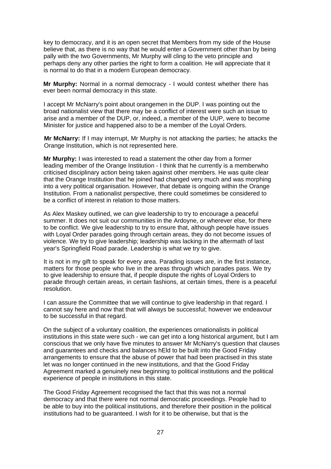key to democracy, and it is an open secret that Members from my side of the House believe that, as there is no way that he would enter a Government other than by being pally with the two Governments, Mr Murphy will cling to the veto principle and perhaps deny any other parties the right to form a coalition. He will appreciate that it is normal to do that in a modern European democracy.

**Mr Murphy:** Normal in a normal democracy - I would contest whether there has ever been normal democracy in this state.

I accept Mr McNarry's point about orangemen in the DUP. I was pointing out the broad nationalist view that there may be a conflict of interest were such an issue to arise and a member of the DUP, or, indeed, a member of the UUP, were to become Minister for justice and happened also to be a member of the Loyal Orders.

**Mr McNarry:** If I may interrupt, Mr Murphy is not attacking the parties; he attacks the Orange Institution, which is not represented here.

**Mr Murphy:** I was interested to read a statement the other day from a former leading member of the Orange Institution - I think that he currently is a memberwho criticised disciplinary action being taken against other members. He was quite clear that the Orange Institution that he joined had changed very much and was morphing into a very political organisation. However, that debate is ongoing within the Orange Institution. From a nationalist perspective, there could sometimes be considered to be a conflict of interest in relation to those matters.

As Alex Maskey outlined, we can give leadership to try to encourage a peaceful summer. It does not suit our communities in the Ardoyne, or wherever else, for there to be conflict. We give leadership to try to ensure that, although people have issues with Loyal Order parades going through certain areas, they do not become issues of violence. We try to give leadership; leadership was lacking in the aftermath of last year's Springfield Road parade. Leadership is what we try to give.

It is not in my gift to speak for every area. Parading issues are, in the first instance, matters for those people who live in the areas through which parades pass. We try to give leadership to ensure that, if people dispute the rights of Loyal Orders to parade through certain areas, in certain fashions, at certain times, there is a peaceful resolution.

I can assure the Committee that we will continue to give leadership in that regard. I cannot say here and now that that will always be successful; however we endeavour to be successful in that regard.

On the subject of a voluntary coalition, the experiences ornationalists in political institutions in this state were such - we can get into a long historical argument, but I am conscious that we only have five minutes to answer Mr McNarry's question that clauses and guarantees and checks and balances hEld to be built into the Good Friday arrangements to ensure that the abuse of power that had been practised in this state let was no longer continued in the new institutions, and that the Good Friday Agreement marked a genuinely new beginning to political institutions and the political experience of people in institutions in this state.

The Good Friday Agreement recognised the fact that this was not a normal democracy and that there were not normal democratic proceedings. People had to be able to buy into the political institutions, and therefore their position in the political institutions had to be guaranteed. I wish for it to be otherwise, but that is the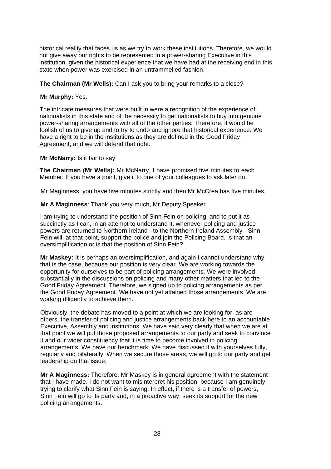historical reality that faces us as we try to work these institutions. Therefore, we would not give away our rights to be represented in a power-sharing Executive in this institution, given the historical experience that we have had at the receiving end in this state when power was exercised in an untrammelled fashion.

**The Chairman (Mr Wells):** Can I ask you to bring your remarks to a close?

# **Mr Murphy:** Yes.

The intricate measures that were built in were a recognition of the experience of nationalists in this state and of the necessity to get nationalists to buy into genuine power-sharing arrangements with all of the other parties. Therefore, it would be foolish of us to give up and to try to undo and ignore that historical experience. We have a right to be in the institutions as they are defined in the Good Friday Agreement, and we will defend that right.

# **Mr McNarry:** Is it fair to say

**The Chairman (Mr Wells):** Mr McNarry, I have promised five minutes to each Member. If you have a point, give it to one of your colleagues to ask later on.

Mr Maginness, you have five minutes strictly and then Mr McCrea has five minutes.

**Mr A Maginness**: Thank you very much, Mr Deputy Speaker.

I am trying to understand the position of Sinn Fein on policing, and to put it as succinctly as I can, in an attempt to understand it, whenever policing and justice powers are returned to Northern Ireland - to the Northern Ireland Assembly - Sinn Fein will, at that point, support the police and join the Policing Board. Is that an oversimplification or is that the position of Sinn Fein?

**Mr Maskey:** It is perhaps an oversimplification, and again I cannot understand why that is the case, because our position is very clear. We are working towards the opportunity for ourselves to be part of policing arrangements. We were involved substantially in the discussions on policing and many other matters that led to the Good Friday Agreement. Therefore, we signed up to policing arrangements as per the Good Friday Agreement. We have not yet attained those arrangements. We are working diligently to achieve them.

Obviously, the debate has moved to a point at which we are looking for, as are others, the transfer of policing and justice arrangements back here to an accountable Executive, Assembly and institutions. We have said very clearly that when we are at that point we will put those proposed arrangements to our party and seek to convince it and our wider constituency that it is time to become involved in policing arrangements. We have our benchmark. We have discussed it with yourselves fully, regularly and bilaterally. When we secure those areas, we will go to our party and get leadership on that issue.

**Mr A Maginness:** Therefore, Mr Maskey is in general agreement with the statement that I have made. I do not want to misinterpret his position, because I am genuinely trying to clarify what Sinn Fein is saying. In effect, if there is a transfer of powers, Sinn Fein will go to its party and, in a proactive way, seek its support for the new policing arrangements.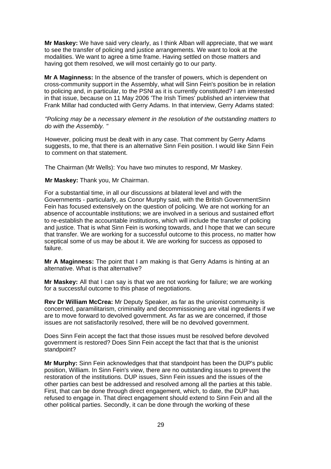**Mr Maskey:** We have said very clearly, as I think Alban will appreciate, that we want to see the transfer of policing and justice arrangements. We want to look at the modalities. We want to agree a time frame. Having settled on those matters and having got them resolved, we will most certainly go to our party.

**Mr A Maginness:** In the absence of the transfer of powers, which is dependent on cross-community support in the Assembly, what will Sinn Fein's position be in relation to policing and, in particular, to the PSNI as it is currently constituted? I am interested in that issue, because on 11 May 2006 'The Irish Times' published an interview that Frank Millar had conducted with Gerry Adams. In that interview, Gerry Adams stated:

*"Policing may be* a *necessary element in the resolution of the outstanding matters to do with the Assembly. "* 

However, policing must be dealt with in any case. That comment by Gerry Adams suggests, to me, that there is an alternative Sinn Fein position. I would like Sinn Fein to comment on that statement.

The Chairman (Mr Wells): You have two minutes to respond, Mr Maskey.

**Mr Maskey:** Thank you, Mr Chairman.

For a substantial time, in all our discussions at bilateral level and with the Governments - particularly, as Conor Murphy said, with the British GovernmentSinn Fein has focused extensively on the question of policing. We are not working for an absence of accountable institutions; we are involved in a serious and sustained effort to re-establish the accountable institutions, which will include the transfer of policing and justice. That is what Sinn Fein is working towards, and I hope that we can secure that transfer. We are working for a successful outcome to this process, no matter how sceptical some of us may be about it. We are working for success as opposed to failure.

**Mr A Maginness:** The point that I am making is that Gerry Adams is hinting at an alternative. What is that alternative?

**Mr Maskey:** All that I can say is that we are not working for failure; we are working for a successful outcome to this phase of negotiations.

**Rev Dr William McCrea:** Mr Deputy Speaker, as far as the unionist community is concerned, paramilitarism, criminality and decommissioning are vital ingredients if we are to move forward to devolved government. As far as we are concerned, if those issues are not satisfactorily resolved, there will be no devolved government.

Does Sinn Fein accept the fact that those issues must be resolved before devolved government is restored? Does Sinn Fein accept the fact that that is the unionist standpoint?

**Mr Murphy:** Sinn Fein acknowledges that that standpoint has been the DUP's public position, William. In Sinn Fein's view, there are no outstanding issues to prevent the restoration of the institutions. DUP issues, Sinn Fein issues and the issues of the other parties can best be addressed and resolved among all the parties at this table. First, that can be done through direct engagement, which, to date, the DUP has refused to engage in. That direct engagement should extend to Sinn Fein and all the other political parties. Secondly, it can be done through the working of these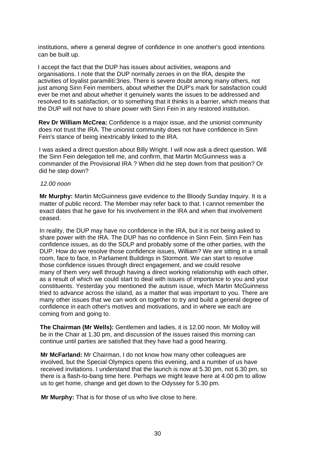institutions, where a general degree of confidence in one another's good intentions can be built up.

I accept the fact that the DUP has issues about activities, weapons and organisations. I note that the DUP normally zeroes in on the IRA, despite the activities of loyalist paramiliti:3ries. There is severe doubt among many others, not just among Sinn Fein members, about whether the DUP's mark for satisfaction could ever be met and about whether it genuinely wants the issues to be addressed and resolved to its satisfaction, or to something that it thinks is a barrier, which means that the DUP will not have to share power with Sinn Fein in any restored institution.

**Rev Dr William McCrea:** Confidence is a major issue, and the unionist community does not trust the IRA. The unionist community does not have confidence in Sinn Fein's stance of being inextricably linked to the IRA.

I was asked a direct question about Billy Wright. I will now ask a direct question. Will the Sinn Fein delegation tell me, and confirm, that Martin McGuinness was a commander of the Provisional IRA ? When did he step down from that position? Or did he step down?

#### *12.00 noon*

**Mr Murphy:** Martin McGuinness gave evidence to the Bloody Sunday Inquiry. It is a matter of public record. The Member may refer back to that. I cannot remember the exact dates that he gave for his involvement in the IRA and when that involvement ceased.

In reality, the DUP may have no confidence in the IRA, but it is not being asked to share power with the IRA. The DUP has no confidence in Sinn Fein. Sinn Fein has confidence issues, as do the SDLP and probably some of the other parties, with the DUP. How do we resolve those confidence issues, William? We are sitting in a small room, face to face, in Parliament Buildings in Stormont. We can start to resolve those confidence issues through direct engagement, and we could resolve many of them very well through having a direct working relationship with each other, as a result of which we could start to deal with issues of importance to you and your constituents. Yesterday you mentioned the autism issue, which Martin McGuinness tried to advance across the island, as a matter that was important to you. There are many other issues that we can work on together to try and build a general degree of confidence in each other's motives and motivations, and in where we each are coming from and going to.

**The Chairman (Mr Wells):** Gentlemen and ladies, it is 12.00 noon. Mr Molloy will be in the Chair at 1.30 pm, and discussion of the issues raised this morning can continue until parties are satisfied that they have had a good hearing.

**Mr McFarland:** Mr Chairman, I do not know how many other colleagues are involved, but the Special Olympics opens this evening, and a number of us have received invitations. I understand that the launch is now at 5.30 pm, not 6.30 pm, so there is a flash-to-bang time here. Perhaps we might leave here at 4.00 pm to allow us to get home, change and get down to the Odyssey for 5.30 pm.

**Mr Murphy:** That is for those of us who live close to here.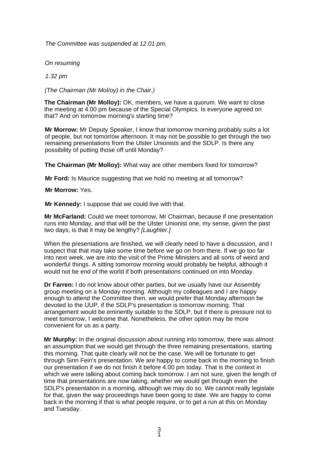*The Committee was suspended at 12.01 pm.* 

*On resuming* 

*1.32 pm* 

*(The Chairman (Mr Mol/oy) in the Chair.)* 

**The Chairman (Mr Molloy):** OK, members, we have a quorum. We want to close the meeting at 4.00 pm because of the Special Olympics. Is everyone agreed on that? And on tomorrow morning's starting time?

**Mr Morrow:** Mr Deputy Speaker, I know that tomorrow morning probably suits a lot of people, but not tomorrow afternoon. It may not be possible to get through the two remaining presentations from the Ulster Unionists and the SDLP. Is there any possibility of putting those off until Monday?

**The Chairman (Mr Molloy):** What way are other members fixed for tomorrow?

**Mr Ford:** Is Maurice suggesting that we hold no meeting at all tomorrow?

**Mr Morrow:** Yes.

**Mr Kennedy:** I suppose that we could live with that.

**Mr McFarland:** Could we meet tomorrow, Mr Chairman, because if one presentation runs into Monday, and that will be the Ulster Unionist one, my sense, given the past two days, is that it may be lengthy? *[Laughter.]* 

When the presentations are finished, we will clearly need to have a discussion, and I suspect that that may take some time before we go on from there. If we go too far into next week, we are into the visit of the Prime Ministers and all sorts of weird and wonderful things. A sitting tomorrow morning would probably be helpful, although it would not be end of the world if both presentations continued on into Monday.

**Dr Farren:** I do not know about other parties, but we usually have our Assembly group meeting on a Monday morning. Although my colleagues and I are happy enough to attend the Committee then, we would prefer that Monday afternoon be devoted to the UUP, if the SDLP's presentation is tomorrow morning. That arrangement would be eminently suitable to the SDLP, but if there is pressure not to meet tomorrow, I welcome that. Nonetheless, the other option may be more convenient for us as a party.

**Mr Murphy:** In the original discussion about running into tomorrow, there was almost an assumption that we would get through the three remaining presentations, starting this morning. That quite clearly will not be the case. We will be fortunate to get through Sinn Fein's presentation. We are happy to come back in the morning to finish our presentation if we do not finish it before 4.00 pm today. That is the context in which we were talking about coming back tomorrow. I am not sure, given the length of time that presentations are now taking, whether we would get through even the SDLP's presentation in a morning, although we may do so. We cannot really legislate for that, given the way proceedings have been going to date. We are happy to come back in the morning if that is what people require, or to get a run at this on Monday and Tuesday.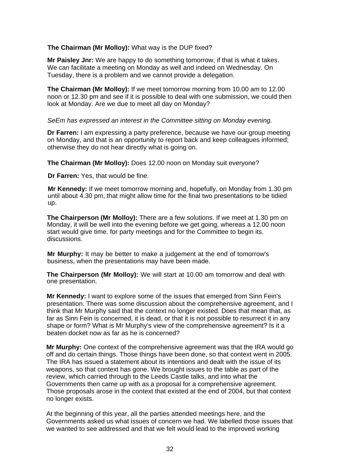**The Chairman (Mr Molloy):** What way is the DUP fixed?

**Mr Paisley Jnr:** We are happy to do something tomorrow, if that is what it takes. We can facilitate a meeting on Monday as well and indeed on Wednesday. On Tuesday, there is a problem and we cannot provide a delegation.

**The Chairman (Mr Molloy):** If we meet tomorrow morning from 10.00 am to 12.00 noon or 12.30 pm and see if it is possible to deal with one submission, we could then look at Monday. Are we due to meet all day on Monday?

*SeEm has expressed an interest in the Committee sitting on Monday evening.* 

**Dr Farren:** I am expressing a party preference, because we have our group meeting on Monday, and that is an opportunity to report back and keep colleagues informed; otherwise they do not hear directly what is going on.

**The Chairman (Mr Molloy):** Does 12.00 noon on Monday suit everyone?

**Dr Farren:** Yes, that would be fine.

**Mr Kennedy:** If we meet tomorrow morning and, hopefully, on Monday from 1.30 pm until about 4.30 pm, that might allow time for the final two presentations to be tidied up.

**The Chairperson (Mr Molloy):** There are a few solutions. If we meet at 1.30 pm on Monday, it will be well into the evening before we get going, whereas a 12.00 noon start would give time. for party meetings and for the Committee to begin its. discussions.

**Mr Murphy:** It may be better to make a judgement at the end of tomorrow's business, when the presentations may have been made.

**The Chairperson (Mr Molloy):** We will start at 10.00 am tomorrow and deal with one presentation.

**Mr Kennedy:** I want to explore some of the issues that emerged from Sinn Fein's presentation. There was some discussion about the comprehensive agreement, and I think that Mr Murphy said that the context no longer existed. Does that mean that, as far as Sinn Fein is concerned, it is dead, or that it is not possible to resurrect it in any shape or form? What is Mr Murphy's view of the comprehensive agreement? Is it a beaten docket now as far as he is concerned?

**Mr Murphy:** One context of the comprehensive agreement was that the IRA would go off and do certain things. Those things have been done, so that context went in 2005. The IRA has issued a statement about its intentions and dealt with the issue of its weapons, so that context has gone. We brought issues to the table as part of the review, which carried through to the Leeds Castle talks, and into what the Governments then came up with as a proposal for a comprehensive agreement. Those proposals arose in the context that existed at the end of 2004, but that context no longer exists.

At the beginning of this year, all the parties attended meetings here, and the Governments asked us what issues of concern we had. We labelled those issues that we wanted to see addressed and that we felt would lead to the improved working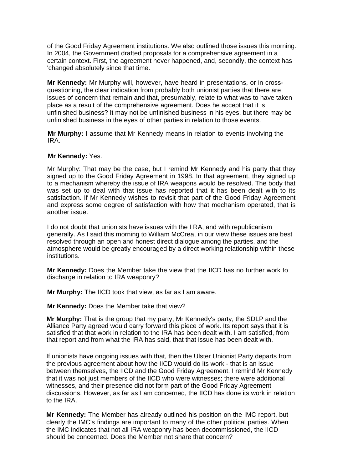of the Good Friday Agreement institutions. We also outlined those issues this morning. In 2004, the Government drafted proposals for a comprehensive agreement in a certain context. First, the agreement never happened, and, secondly, the context has 'changed absolutely since that time.

**Mr Kennedy:** Mr Murphy will, however, have heard in presentations, or in crossquestioning, the clear indication from probably both unionist parties that there are issues of concern that remain and that, presumably, relate to what was to have taken place as a result of the comprehensive agreement. Does he accept that it is unfinished business? It may not be unfinished business in his eyes, but there may be unfinished business in the eyes of other parties in relation to those events.

**Mr Murphy:** I assume that Mr Kennedy means in relation to events involving the IRA.

#### **Mr Kennedy:** Yes.

Mr Murphy: That may be the case, but I remind Mr Kennedy and his party that they signed up to the Good Friday Agreement in 1998. In that agreement, they signed up to a mechanism whereby the issue of IRA weapons would be resolved. The body that was set up to deal with that issue has reported that it has been dealt with to its satisfaction. If Mr Kennedy wishes to revisit that part of the Good Friday Agreement and express some degree of satisfaction with how that mechanism operated, that is another issue.

I do not doubt that unionists have issues with the I RA, and with republicanism generally. As I said this morning to William McCrea, in our view these issues are best resolved through an open and honest direct dialogue among the parties, and the atmosphere would be greatly encouraged by a direct working relationship within these institutions.

**Mr Kennedy:** Does the Member take the view that the IICD has no further work to discharge in relation to IRA weaponry?

**Mr Murphy:** The IICD took that view, as far as I am aware.

**Mr Kennedy:** Does the Member take that view?

**Mr Murphy:** That is the group that my party, Mr Kennedy's party, the SDLP and the Alliance Party agreed would carry forward this piece of work. Its report says that it is satisfied that that work in relation to the IRA has been dealt with. I am satisfied, from that report and from what the IRA has said, that that issue has been dealt with.

If unionists have ongoing issues with that, then the Ulster Unionist Party departs from the previous agreement about how the IICD would do its work - that is an issue between themselves, the IICD and the Good Friday Agreement. I remind Mr Kennedy that it was not just members of the IICD who were witnesses; there were additional witnesses, and their presence did not form part of the Good Friday Agreement discussions. However, as far as I am concerned, the IICD has done its work in relation to the IRA.

**Mr Kennedy:** The Member has already outlined his position on the IMC report, but clearly the IMC's findings are important to many of the other political parties. When the IMC indicates that not all IRA weaponry has been decommissioned, the IICD should be concerned. Does the Member not share that concern?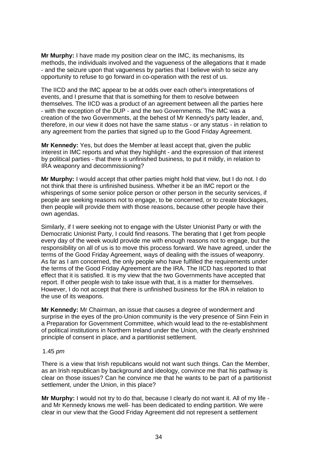**Mr Murphy:** I have made my position clear on the IMC, its mechanisms, its methods, the individuals involved and the vagueness of the allegations that it made - and the seizure upon that vagueness by parties that I believe wish to seize any opportunity to refuse to go forward in co-operation with the rest of us.

The IICD and the IMC appear to be at odds over each other's interpretations of events, and I presume that that is something for them to resolve between themselves. The IICD was a product of an agreement between all the parties here - with the exception of the DUP - and the two Governments. The IMC was a creation of the two Governments, at the behest of Mr Kennedy's party leader, and, therefore, in our view it does not have the same status - or any status - in relation to any agreement from the parties that signed up to the Good Friday Agreement.

**Mr Kennedy:** Yes, but does the Member at least accept that, given the public interest in IMC reports and what they highlight - and the expression of that interest by political parties - that there is unfinished business, to put it mildly, in relation to IRA weaponry and decommissioning?

**Mr Murphy:** I would accept that other parties might hold that view, but I do not. I do not think that there is unfinished business. Whether it be an IMC report or the whisperings of some senior police person or other person in the security services, if people are seeking reasons not to engage, to be concerned, or to create blockages, then people will provide them with those reasons, because other people have their own agendas.

Similarly, if I were seeking not to engage with the Ulster Unionist Party or with the Democratic Unionist Party, I could find reasons. The berating that I get from people every day of the week would provide me with enough reasons not to engage, but the responsibility on all of us is to move this process forward. We have agreed, under the terms of the Good Friday Agreement, ways of dealing with the issues of weaponry. As far as I am concerned, the only people who have fulfilled the requirements under the terms of the Good Friday Agreement are the IRA. The IICD has reported to that effect that it is satisfied. It is my view that the two Governments have accepted that report. If other people wish to take issue with that, it is a matter for themselves. However, I do not accept that there is unfinished business for the IRA in relation to the use of its weapons.

**Mr Kennedy:** Mr Chairman, an issue that causes a degree of wonderment and surprise in the eyes of the pro-Union community is the very presence of Sinn Fein in a Preparation for Government Committee, which would lead to the re-establishment of political institutions in Northern Ireland under the Union, with the clearly enshrined principle of consent in place, and a partitionist settlement.

#### 1.45 *pm*

There is a view that Irish republicans would not want such things. Can the Member, as an Irish republican by background and ideology, convince me that his pathway is clear on those issues? Can he convince me that he wants to be part of a partitionist settlement, under the Union, in this place?

**Mr Murphy:** I would not try to do that, because I clearly do not want it. All of my life and Mr Kennedy knows me well- has been dedicated to ending partition. We were clear in our view that the Good Friday Agreement did not represent a settlement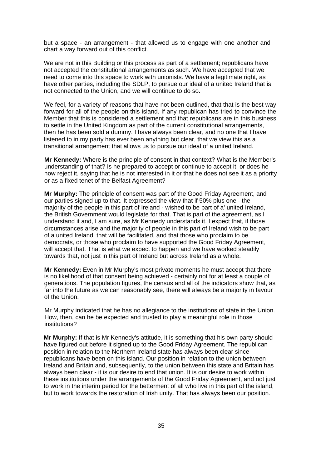but a space - an arrangement - that allowed us to engage with one another and chart a way forward out of this conflict.

We are not in this Building or this process as part of a settlement; republicans have not accepted the constitutional arrangements as such. We have accepted that we need to come into this space to work with unionists. We have a legitimate right, as have other parties, including the SDLP, to pursue our ideal of a united Ireland that is not connected to the Union, and we will continue to do so.

We feel, for a variety of reasons that have not been outlined, that that is the best way forward for all of the people on this island. If any republican has tried to convince the Member that this is considered a settlement and that republicans are in this business to settle in the United Kingdom as part of the current constitutional arrangements, then he has been sold a dummy. I have always been clear, and no one that I have listened to in my party has ever been anything but clear, that we view this as a transitional arrangement that allows us to pursue our ideal of a united Ireland.

**Mr Kennedy:** Where is the principle of consent in that context? What is the Member's understanding of that? Is he prepared to accept or continue to accept it, or does he now reject it, saying that he is not interested in it or that he does not see it as a priority or as a fixed tenet of the Belfast Agreement?

**Mr Murphy:** The principle of consent was part of the Good Friday Agreement, and our parties signed up to that. It expressed the view that if 50% plus one - the majority of the people in this part of Ireland - wished to be part of a' united Ireland, the British Government would legislate for that. That is part of the agreement, as I understand it and, I am sure, as Mr Kennedy understands it. I expect that, if those circumstances arise and the majority of people in this part of Ireland wish to be part of a united Ireland, that will be facilitated, and that those who proclaim to be democrats, or those who proclaim to have supported the Good Friday Agreement, will accept that. That is what we expect to happen and we have worked steadily towards that, not just in this part of Ireland but across Ireland as a whole.

**Mr Kennedy:** Even in Mr Murphy's most private moments he must accept that there is no likelihood of that consent being achieved - certainly not for at least a couple of generations. The population figures, the census and all of the indicators show that, as far into the future as we can reasonably see, there will always be a majority in favour of the Union.

Mr Murphy indicated that he has no allegiance to the institutions of state in the Union. How, then, can he be expected and trusted to play a meaningful role in those institutions?

**Mr Murphy:** If that is Mr Kennedy's attitude, it is something that his own party should have figured out before it signed up to the Good Friday Agreement. The republican position in relation to the Northern Ireland state has always been clear since republicans have been on this island. Our position in relation to the union between Ireland and Britain and, subsequently, to the union between this state and Britain has always been clear - it is our desire to end that union. It is our desire to work within these institutions under the arrangements of the Good Friday Agreement, and not just to work in the interim period for the betterment of all who live in this part of the island, but to work towards the restoration of Irish unity. That has always been our position.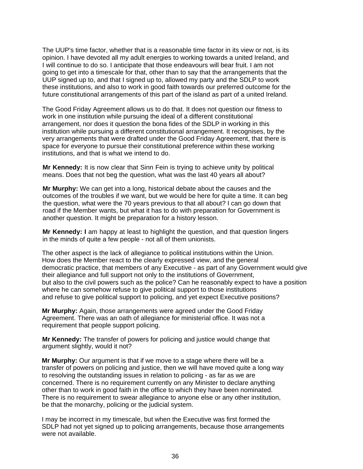The UUP's time factor, whether that is a reasonable time factor in its view or not, is its opinion. I have devoted all my adult energies to working towards a united Ireland, and I will continue to do so. I anticipate that those endeavours will bear fruit. I am not going to get into a timescale for that, other than to say that the arrangements that the UUP signed up to, and that I signed up to, allowed my party and the SDLP to work these institutions, and also to work in good faith towards our preferred outcome for the future constitutional arrangements of this part of the island as part of a united Ireland.

The Good Friday Agreement allows us to do that. It does not question our fitness to work in one institution while pursuing the ideal of a different constitutional arrangement, nor does it question the bona fides of the SDLP in working in this institution while pursuing a different constitutional arrangement. It recognises, by the very arrangements that were drafted under the Good Friday Agreement, that there is space for everyone to pursue their constitutional preference within these working institutions, and that is what we intend to do.

**Mr Kennedy:** It is now clear that Sinn Fein is trying to achieve unity by political means. Does that not beg the question, what was the last 40 years all about?

**Mr Murphy:** We can get into a long, historical debate about the causes and the outcomes of the troubles if we want, but we would be here for quite a time. It can beg the question, what were the 70 years previous to that all about? I can go down that road if the Member wants, but what it has to do with preparation for Government is another question. It might be preparation for a history lesson.

**Mr Kennedy:** I am happy at least to highlight the question, and that question lingers in the minds of quite a few people - not all of them unionists.

The other aspect is the lack of allegiance to political institutions within the Union. How does the Member react to the clearly expressed view, and the general democratic practice, that members of any Executive - as part of any Government would give their allegiance and full support not only to the institutions of Government, but also to the civil powers such as the police? Can he reasonably expect to have a position where he can somehow refuse to give political support to those institutions and refuse to give political support to policing, and yet expect Executive positions?

**Mr Murphy:** Again, those arrangements were agreed under the Good Friday Agreement. There was an oath of allegiance for ministerial office. It was not a requirement that people support policing.

**Mr Kennedy:** The transfer of powers for policing and justice would change that argument slightly, would it not?

**Mr Murphy:** Our argument is that if we move to a stage where there will be a transfer of powers on policing and justice, then we will have moved quite a long way to resolving the outstanding issues in relation to policing - as far as we are concerned. There is no requirement currently on any Minister to declare anything other than to work in good faith in the office to which they have been nominated. There is no requirement to swear allegiance to anyone else or any other institution, be that the monarchy, policing or the judicial system.

I may be incorrect in my timescale, but when the Executive was first formed the SDLP had not yet signed up to policing arrangements, because those arrangements were not available.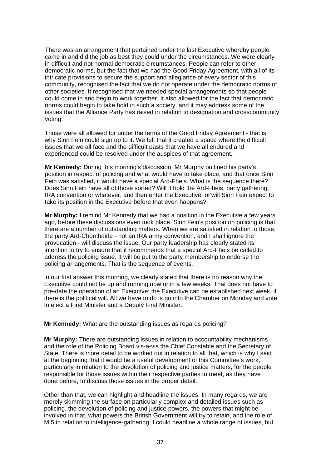There was an arrangement that pertained under the last Executive whereby people came in and did the job as best they could under the circumstances. We were clearly in difficult and not normal democratic circumstances. People can refer to other democratic norms, but the fact that we had the Good Friday Agreement, with all of its intricate provisions to secure the support and allegiance of every sector of this community, recognised the fact that we do not operate under the democratic norms of other societies. It recognised that we needed special arrangements so that people could come in and begin to work together. It also allowed for the fact that democratic norms could begin to take hold in such a society, and it may address some of the issues that the Alliance Party has raised in relation to designation and crosscommunity voting.

Those were all allowed for under the terms of the Good Friday Agreement - that is why Sinn Fein could sign up to it. We felt that it created a space where the difficult issues that we all face and the difficult pasts that we have all endured and experienced could be resolved under the auspices of that agreement.

**Mr Kennedy:** During this morning's discussion, Mr Murphy outlined his party's position in respect of policing and what would have to take place, and that once Sinn Fein was satisfied, it would have a special Ard-Fheis. What is the sequence there? Does Sinn Fein have all of those sorted? Will it hold the Ard-Fheis, party gathering, IRA convention or whatever, and then enter the Executive, or'will Sinn Fein expect to take its position in the Executive before that even happens?

**Mr Murphy: I** remind Mr Kennedy that we had a position in the Executive a few years ago, before these discussions even took place. Sinn Fein's position on policing is that there are a number of outstanding matters. When we are satisfied in relation to those, the party Ard-Chomhairle - not an IRA army convention, and I shall ignore the provocation - will discuss the issue. Our party leadership has clearly stated its intention to try to ensure that it recommends that a special Ard-Fheis be called to address the policing issue. It will be put to the party membership to endorse the policing arrangements. That is the sequence of events.

In our first answer this morning, we clearly stated that there is no reason why the Executive could not be up and running now or in a few weeks. That does not have to pre-date the operation of an Executive; the Executive can be established next week, if there is the political will. All we have to do is go into the Chamber on Monday and vote to elect a First Minister and a Deputy First Minister.

**Mr Kennedy:** What are the outstanding issues as regards policing?

**Mr Murphy:** There are outstanding issues in relation to accountability mechanisms and the role of the Policing Board vis-a-vis the Chief Constable and the Secretary of State. There is more detail to be worked out in relation to all that, which is why I said at the beginning that it would be a useful development of this Committee's work, particularly in relation to the devolution of policing and justice matters, for the people responsible for those issues within their respective parties to meet, as they have done before, to discuss those issues in the proper detail.

Other than that, we can highlight and headline the issues. In many regards, we are merely skimming the surface on particularly complex and detailed issues such as policing, the devolution of policing and justice powers, the powers that might be involved in that, what powers the British Government will try to retain, and the role of MI5 in relation to intelligence-gathering. I could headline a whole range of issues, but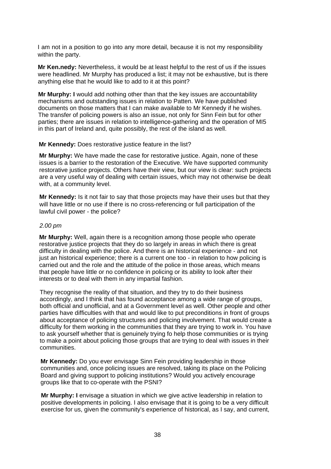I am not in a position to go into any more detail, because it is not my responsibility within the party.

**Mr Ken.nedy:** Nevertheless, it would be at least helpful to the rest of us if the issues were headlined. Mr Murphy has produced a list; it may not be exhaustive, but is there anything else that he would like to add to it at this point?

**Mr Murphy: I** would add nothing other than that the key issues are accountability mechanisms and outstanding issues in relation to Patten. We have published documents on those matters that I can make available to Mr Kennedy if he wishes. The transfer of policing powers is also an issue, not only for Sinn Fein but for other parties; there are issues in relation to intelligence-gathering and the operation of MI5 in this part of Ireland and, quite possibly, the rest of the island as well.

#### **Mr Kennedy:** Does restorative justice feature in the list?

**Mr Murphy:** We have made the case for restorative justice. Again, none of these issues is a barrier to the restoration of the Executive. We have supported community restorative justice projects. Others have their view, but our view is clear: such projects are a very useful way of dealing with certain issues, which may not otherwise be dealt with, at a community level.

**Mr Kennedy:** Is it not fair to say that those projects may have their uses but that they will have little or no use if there is no cross-referencing or full participation of the lawful civil power - the police?

### *2.00 pm*

**Mr Murphy:** Well, again there is a recognition among those people who operate restorative justice projects that they do so largely in areas in which there is great difficulty in dealing with the police. And there is an historical experience - and not just an historical experience; there is a current one too - in relation to how policing is carried out and the role and the attitude of the police in those areas, which means that people have little or no confidence in policing or its ability to look after their interests or to deal with them in any impartial fashion.

They recognise the reality of that situation, and they try to do their business accordingly, and I think that has found acceptance among a wide range of groups, both official and unofficial, and at a Government level as well. Other people and other parties have difficulties with that and would like to put preconditions in front of groups about acceptance of policing structures and policing involvement. That would create a difficulty for them working in the communities that they are trying to work in. You have to ask yourself whether that is genuinely trying fo help those communities or is trying to make a point about policing those groups that are trying to deal with issues in their communities.

**Mr Kennedy:** Do you ever envisage Sinn Fein providing leadership in those communities and, once policing issues are resolved, taking its place on the Policing Board and giving support to policing institutions? Would you actively encourage groups like that to co-operate with the PSNI?

**Mr Murphy: I** envisage a situation in which we give active leadership in relation to positive developments in policing. I also envisage that it is going to be a very difficult exercise for us, given the community's experience of historical, as I say, and current,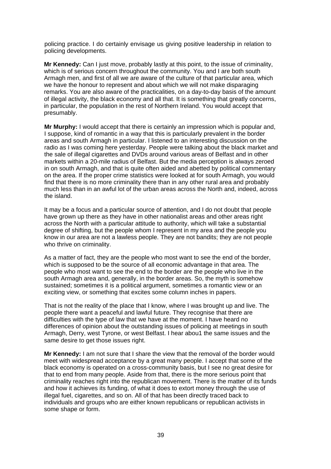policing practice. I do certainly envisage us giving positive leadership in relation to policing developments.

**Mr Kennedy:** Can I just move, probably lastly at this point, to the issue of criminality, which is of serious concern throughout the community. You and I are both south Armagh men, and first of all we are aware of the culture of that particular area, which we have the honour to represent and about which we will not make disparaging remarks. You are also aware of the practicalities, on a day-to-day basis of the amount of illegal activity, the black economy and all that. It is something that greatly concerns, in particular, the population in the rest of Northern Ireland. You would accept that presumably.

**Mr Murphy:** I would accept that there is certainly an impression which is popular and, I suppose, kind of romantic in a way that this is particularly prevalent in the border areas and south Armagh in particular. I listened to an interesting discussion on the radio as I was coming here yesterday. People were talking about the black market and the sale of illegal cigarettes and DVDs around various areas of Belfast and in other markets within a 20-mile radius of Belfast. But the media perception is always zeroed in on south Armagh, and that is quite often aided and abetted by political commentary on the area. If the proper crime statistics were looked at for south Armagh, you would find that there is no more criminality there than in any other rural area and probably much less than in an awful lot of the urban areas across the North and, indeed, across the island.

It may be a focus and a particular source of attention, and I do not doubt that people have grown up there as they have in other nationalist areas and other areas right across the North with a particular attitude to authority, which will take a substantial degree of shifting, but the people whom I represent in my area and the people you know in our area are not a lawless people. They are not bandits; they are not people who thrive on criminality.

As a matter of fact, they are the people who most want to see the end of the border, which is supposed to be the source of all economic advantage in that area. The people who most want to see the end to the border are the people who live in the south Armagh area and, generally, in the border areas. So, the myth is somehow sustained; sometimes it is a political argument, sometimes a romantic view or an exciting view, or something that excites some column inches in papers.

That is not the reality of the place that I know, where I was brought up and live. The people there want a peaceful and lawful future. They recognise that there are difficulties with the type of law that we have at the moment. I have heard no differences of opinion about the outstanding issues of policing at meetings in south Armagh, Derry, west Tyrone, or west Belfast. I hear abou1 the same issues and the same desire to get those issues right.

**Mr Kennedy:** I am not sure that I share the view that the removal of the border would meet with widespread acceptance by a great many people. I accept that some of the black economy is operated on a cross-community basis, but I see no great desire for that to end from many people. Aside from that, there is the more serious point that criminality reaches right into the republican movement. There is the matter of its funds and how it achieves its funding, of what it does to extort money through the use of illegal fuel, cigarettes, and so on. All of that has been directly traced back to individuals and groups who are either known republicans or republican activists in some shape or form.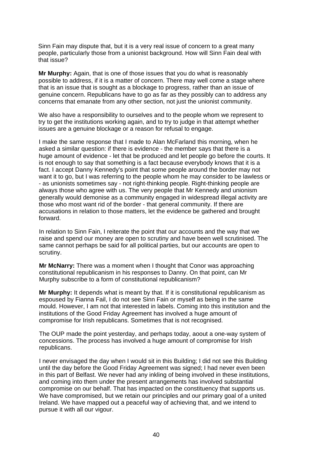Sinn Fain may dispute that, but it is a very real issue of concern to a great many people, particularly those from a unionist background. How will Sinn Fain deal with that issue?

**Mr Murphy:** Again, that is one of those issues that you do what is reasonably possible to address, if it is a matter of concern. There may well come a stage where that is an issue that is sought as a blockage to progress, rather than an issue of genuine concern. Republicans have to go as far as they possibly can to address any concerns that emanate from any other section, not just the unionist community.

We also have a responsibility to ourselves and to the people whom we represent to try to get the institutions working again, and to try to judge in that attempt whether issues are a genuine blockage or a reason for refusal to engage.

I make the same response that I made to Alan McFarland this morning, when he asked a similar question: if there is evidence - the member says that there is a huge amount of evidence - let that be produced and let people go before the courts. It is not enough to say that something is a fact because everybody knows that it is a fact. I accept Danny Kennedy's point that some people around the border may not want it to go, but I was referring to the people whom he may consider to be lawless or - as unionists sometimes say - not right-thinking people. Right-thinking people are always those who agree with us. The very people that Mr Kennedy and unionism generally would demonise as a community engaged in widespread illegal activity are those who most want rid of the border - that general community. If there are accusations in relation to those matters, let the evidence be gathered and brought forward.

In relation to Sinn Fain, I reiterate the point that our accounts and the way that we raise and spend our money are open to scrutiny and have been well scrutinised. The same cannot perhaps be said for all political parties, but our accounts are open to scrutiny.

**Mr McNarry:** There was a moment when I thought that Conor was approaching constitutional republicanism in his responses to Danny. On that point, can Mr Murphy subscribe to a form of constitutional republicanism?

**Mr Murphy:** It depends what is meant by that. If it is constitutional republicanism as espoused by Fianna Fail, I do not see Sinn Fain or myself as being in the same mould. However, I am not that interested in labels. Coming into this institution and the institutions of the Good Friday Agreement has involved a huge amount of compromise for Irish republicans. Sometimes that is not recognised.

The OUP made the point yesterday, and perhaps today, aoout a one-way system of concessions. The process has involved a huge amount of compromise for Irish republicans.

I never envisaged the day when I would sit in this Building; I did not see this Building until the day before the Good Friday Agreement was signed; I had never even been in this part of Belfast. We never had any inkling of being involved in these institutions, and coming into them under the present arrangements has involved substantial compromise on our behalf. That has impacted on the constituency that supports us. We have compromised, but we retain our principles and our primary goal of a united Ireland. We have mapped out a peaceful way of achieving that, and we intend to pursue it with all our vigour.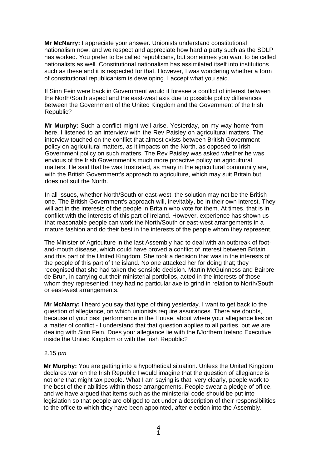**Mr McNarry: I** appreciate your answer. Unionists understand constitutional nationalism now, and we respect and appreciate how hard a party such as the SDLP has worked. You prefer to be called republicans, but sometimes you want to be called nationalists as well. Constitutional nationalism has assimilated itself into institutions such as these and it is respected for that. However, I was wondering whether a form of constitutional republicanism is developing. I accept what you said.

If Sinn Fein were back in Government would it foresee a conflict of interest between the North/South aspect and the east-west axis due to possible policy differences between the Government of the United Kingdom and the Government of the Irish Republic?

**Mr Murphy:** Such a conflict might well arise. Yesterday, on my way home from here, I listened to an interview with the Rev Paisley on agricultural matters. The interview touched on the conflict that almost exists between British Government policy on agricultural matters, as it impacts on the North, as opposed to Irish Government policy on such matters. The Rev Paisley was asked whether he was envious of the Irish Government's much more proactive policy on agricultural matters. He said that he was frustrated, as many in the agricultural community are, with the British Government's approach to agriculture, which may suit Britain but does not suit the North.

In all issues, whether North/South or east-west, the solution may not be the British one. The British Government's approach will, inevitably, be in their own interest. They will act in the interests of the people in Britain who vote for them. At times, that is in conflict with the interests of this part of Ireland. However, experience has shown us that reasonable people can work the North/South or east-west arrangements in a mature fashion and do their best in the interests of the people whom they represent.

The Minister of Agriculture in the last Assembly had to deal with an outbreak of footand-mouth disease, which could have proved a conflict of interest between Britain and this part of the United Kingdom. She took a decision that was in the interests of the people of this part of the island. No one attacked her for doing that; they recognised that she had taken the sensible decision. Martin McGuinness and Bairbre de Brun, in carrying out their ministerial portfolios, acted in the interests of those whom they represented; they had no particular axe to grind in relation to North/South or east-west arrangements.

**Mr McNarry: I** heard you say that type of thing yesterday. I want to get back to the question of allegiance, on which unionists require assurances. There are doubts, because of your past performance in the House, about where your allegiance lies on a matter of conflict - I understand that that question applies to all parties, but we are dealing with Sinn Fein. Does your allegiance lie with the l\Jorthern Ireland Executive inside the United Kingdom or with the Irish Republic?

#### 2.15 *pm*

**Mr Murphy:** You are getting into a hypothetical situation. Unless the United Kingdom declares war on the Irish Republic I would imagine that the question of allegiance is not one that might tax people. What I am saying is that, very clearly, people work to the best of their abilities within those arrangements. People swear a pledge of office, and we have argued that items such as the ministerial code should be put into legislation so that people are obliged to act under a description of their responsibilities to the office to which they have been appointed, after election into the Assembly.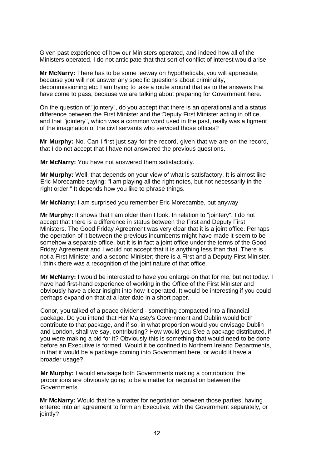Given past experience of how our Ministers operated, and indeed how all of the Ministers operated, I do not anticipate that that sort of conflict of interest would arise.

**Mr McNarry:** There has to be some leeway on hypotheticals, you will appreciate, because you will not answer any specific questions about criminality, decommissioning etc. I am trying to take a route around that as to the answers that have come to pass, because we are talking about preparing for Government here.

On the question of "jointery", do you accept that there is an operational and a status difference between the First Minister and the Deputy First Minister acting in office, and that "jointery", which was a common word used in the past, really was a figment of the imagination of the civil servants who serviced those offices?

**Mr Murphy:** No. Can I first just say for the record, given that we are on the record, that I do not accept that I have not answered the previous questions.

**Mr McNarry:** You have not answered them satisfactorily.

**Mr Murphy:** Well, that depends on your view of what is satisfactory. It is almost like Eric Morecambe saying: "l am playing all the right notes, but not necessarily in the right order." It depends how you like to phrase things.

**Mr McNarry: I** am surprised you remember Eric Morecambe, but anyway

**Mr Murphy:** It shows that I am older than I look. In relation to "jointery", I do not accept that there is a difference in status between the First and Deputy First Ministers. The Good Friday Agreement was very clear that it is a joint office. Perhaps the operation of it between the previous incumbents might have made it seem to be somehow a separate office, but it is in fact a joint office under the terms of the Good Friday Agreement and I would not accept that it is anything less than that. There is not a First Minister and a second Minister; there is a First and a Deputy First Minister. I think there was a recognition of the joint nature of that office.

**Mr McNarry: I** would be interested to have you enlarge on that for me, but not today. I have had first-hand experience of working in the Office of the First Minister and obviously have a clear insight into how it operated. It would be interesting if you could perhaps expand on that at a later date in a short paper.

Conor, you talked of a peace dividend - something compacted into a financial package. Do you intend that Her Majesty's Government and Dublin would both contribute to that package, and if so, in what proportion would you envisage Dublin and London, shall we say, contributing? How would you S'ee a package distributed, if you were making a bid for it? Obviously this is something that would need to be done before an Executive is formed. Would it be confined to Northern Ireland Departments, in that it would be a package coming into Government here, or would it have a broader usage?

**Mr Murphy:** I would envisage both Governments making a contribution; the proportions are obviously going to be a matter for negotiation between the Governments.

**Mr McNarry:** Would that be a matter for negotiation between those parties, having entered into an agreement to form an Executive, with the Government separately, or jointly?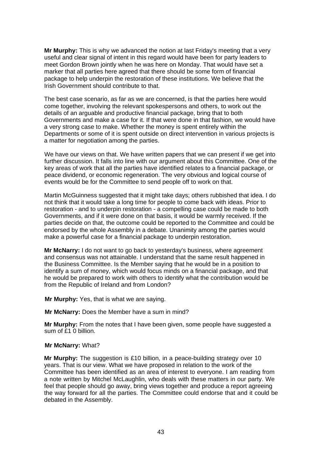**Mr Murphy:** This is why we advanced the notion at last Friday's meeting that a very useful and clear signal of intent in this regard would have been for party leaders to meet Gordon Brown jointly when he was here on Monday. That would have set a marker that all parties here agreed that there should be some form of financial package to help underpin the restoration of these institutions. We believe that the Irish Government should contribute to that.

The best case scenario, as far as we are concerned, is that the parties here would come together, involving the relevant spokespersons and others, to work out the details of an arguable and productive financial package, bring that to both Governments and make a case for it. If that were done in that fashion, we would have a very strong case to make. Whether the money is spent entirely within the Departments or some of it is spent outside on direct intervention in various projects is a matter for negotiation among the parties.

We have our views on that. We have written papers that we can present if we get into further discussion. It falls into line with our argument about this Committee. One of the key areas of work that all the parties have identified relates to a financial package, or peace dividend, or economic regeneration. The very obvious and logical course of events would be for the Committee to send people off to work on that.

Martin McGuinness suggested that it might take days; others rubbished that idea. I do not think that it would take a long time for people to come back with ideas. Prior to restoration - and to underpin restoration - a compelling case could be made to both Governments, and if it were done on that basis, it would be warmly received. If the parties decide on that, the outcome could be reported to the Committee and could be endorsed by the whole Assembly in a debate. Unanimity among the parties would make a powerful case for a financial package to underpin restoration.

**Mr McNarry:** I do not want to go back to yesterday's business, where agreement and consensus was not attainable. I understand that the same result happened in the Business Committee. Is the Member saying that he would be in a position to identify a sum of money, which would focus minds on a financial package, and that he would be prepared to work with others to identify what the contribution would be from the Republic of Ireland and from London?

**Mr Murphy:** Yes, that is what we are saying.

**Mr McNarry:** Does the Member have a sum in mind?

**Mr Murphy:** From the notes that I have been given, some people have suggested a sum of £1 0 billion.

#### **Mr McNarry:** What?

**Mr Murphy:** The suggestion is £10 billion, in a peace-building strategy over 10 years. That is our view. What we have proposed in relation to the work of the Committee has been identified as an area of interest to everyone. I am reading from a note written by Mitchel McLaughlin, who deals with these matters in our party. We feel that people should go away, bring views together and produce a report agreeing the way forward for all the parties. The Committee could endorse that and it could be debated in the Assembly.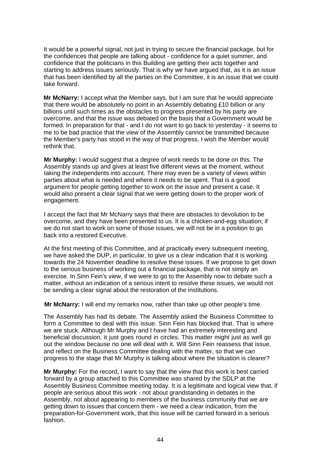It would be a powerful signal, not just in trying to secure the financial package, but for the confidences that people are talking about - confidence for a quiet summer, and confidence that the politicians in this Building are getting their acts together and starting to address issues seriously. That is why we have argued that, as it is an issue that has been identified by all the parties on the Committee, it is an issue that we could take forward.

**Mr McNarry:** I accept what the Member says, but I am sure that he would appreciate that there would be absolutely no point in an Assembly debating £10 billion or any billions until such times as the obstacles to progress presented by his party are overcome, and that the issue was debated on the basis that a Government would be formed. In preparation for that - and I do not want to go back to yesterday - it seems to me to be bad practice that the view of the Assembly cannot be transmitted because the Member's party has stood in the way of that progress. I wish the Member would rethink that.

**Mr Murphy:** I would suggest that a degree of work needs to be done on this. The Assembly stands up and gives at least five different views at the moment, without taking the independents into account. There may even be a variety of views within parties about what is needed and where it needs to be spent. That is a good argument for people getting together to work on the issue and present a case. It would also present a clear signal that we were getting down to the proper work of engagement.

I accept the fact that Mr McNarry says that there are obstacles to devolution to be overcome, and they have been presented to us. It is a chicken-and-egg situation; if we do not start to work on some of those issues, we will not be in a position to go back into a restored Executive.

At the first meeting of this Committee, and at practically every subsequent meeting, we have asked the DUP, in particular, to give us a clear indication that it is working towards the 24 November deadline to resolve these issues. If we propose to get down to the serious business of working out a financial package, that is not simply an exercise. In Sinn Fein's view, if we were to go to the Assembly now to debate such a matter, without an indication of a serious intent to resolve these issues, we would not be sending a clear signal about the restoration of the institutions.

**Mr McNarry:** I will end my remarks now, rather than take up other people's time.

The Assembly has had its debate. The Assembly asked the Business Committee to form a Committee to deal with this issue. Sinn Fein has blocked that. That is where we are stuck. Although Mr Murphy and I have had an extremely interesting and beneficial discussion, it just goes round in circles. This matter might just as well go out the window because no one will deal with it. Will Sinn Fein reassess that issue, and reflect on the Business Committee dealing with the matter, so that we can progress to the stage that Mr Murphy is talking about where the situation is clearer?

**Mr Murphy:** For the record, I want to say that the view that this work is best carried forward by a group attached to this Committee was shared by the SDLP at the Assembly Business Committee meeting today. It is a legitimate and logical view that, if people are serious about this work - not about grandstanding in debates in the Assembly, not about appearing to members of the business community that we are getting down to issues that concern them - we need a clear indication, from the preparation-for-Government work, that this issue will be carried forward in a serious fashion.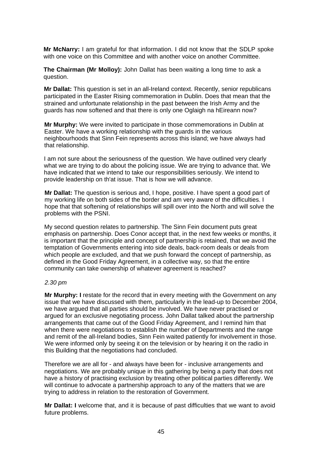**Mr McNarry:** I am grateful for that information. I did not know that the SDLP spoke with one voice on this Committee and with another voice on another Committee.

**The Chairman (Mr Molloy):** John Dallat has been waiting a long time to ask a question.

**Mr Dallat:** This question is set in an all-Ireland context. Recently, senior republicans participated in the Easter Rising commemoration in Dublin. Does that mean that the strained and unfortunate relationship in the past between the Irish Army and the guards has now softened and that there is only one Oglaigh na hEireann now?

**Mr Murphy:** We were invited to participate in those commemorations in Dublin at Easter. We have a working relationship with the guards in the various neighbourhoods that Sinn Fein represents across this island; we have always had that relationship.

I am not sure about the seriousness of the question. We have outlined very clearly what we are trying to do about the policing issue. We are trying to advance that. We have indicated that we intend to take our responsibilities seriously. We intend to provide leadership on th'at issue. That is how we will advance.

**Mr Dallat:** The question is serious and, I hope, positive. I have spent a good part of my working life on both sides of the border and am very aware of the difficulties. I hope that that softening of relationships will spill over into the North and will solve the problems with the PSNI.

My second question relates to partnership. The Sinn Fein document puts great emphasis on partnership. Does Conor accept that, in the next few weeks or months, it is important that the principle and concept of partnership is retained, that we avoid the temptation of Governments entering into side deals, back-room deals or deals from which people are excluded, and that we push forward the concept of partnership, as defined in the Good Friday Agreement, in a collective way, so that the entire community can take ownership of whatever agreement is reached?

#### *2.30 pm*

**Mr Murphy: I** restate for the record that in every meeting with the Government on any issue that we have discussed with them, particularly in the lead-up to December 2004, we have argued that all parties should be involved. We have never practised or argued for an exclusive negotiating process. John Dallat talked about the partnership arrangements that came out of the Good Friday Agreement, and I remind him that when there were negotiations to establish the number of Departments and the range and remit of the all-Ireland bodies, Sinn Fein waited patiently for involvement in those. We were informed only by seeing it on the television or by hearing it on the radio in this Building that the negotiations had concluded.

Therefore we are all for - and always have been for - inclusive arrangements and negotiations. We are probably unique in this gathering by being a party that does not have a history of practising exclusion by treating other political parties differently. We will continue to advocate a partnership approach to any of the matters that we are trying to address in relation to the restoration of Government.

**Mr Dallat: I** welcome that, and it is because of past difficulties that we want to avoid future problems.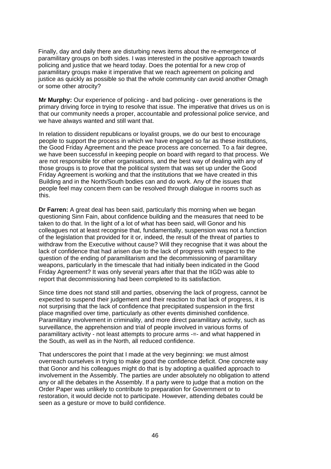Finally, day and daily there are disturbing news items about the re-emergence of paramilitary groups on both sides. I was interested in the positive approach towards policing and justice that we heard today. Does the potential for a new crop of paramilitary groups make it imperative that we reach agreement on policing and justice as quickly as possible so that the whole community can avoid another Omagh or some other atrocity?

**Mr Murphy:** Our experience of policing - and bad policing - over generations is the primary driving force in trying to resolve that issue. The imperative that drives us on is that our community needs a proper, accountable and professional police service, and we have always wanted and still want that.

In relation to dissident republicans or loyalist groups, we do our best to encourage people to support the process in which we have engaged so far as these institutions, the Good Friday Agreement and the peace process are concerned. To a fair degree, we have been successful in keeping people on board with regard to that process. We are not responsible for other organisations, and the best way of dealing with any of those groups is to prove that the political system that was set up under the Good Friday Agreement is working and that the institutions that we have created in this Building and in the North/South bodies can and do work. Any of the issues that people feel may concern them can be resolved through dialogue in rooms such as this.

**Dr Farren:** A great deal has been said, particularly this morning when we began questioning Sinn Fain, about confidence building and the measures that need to be taken to do that. In the light of a lot of what has been said, will Gonor and his colleagues not at least recognise that, fundamentally, suspension was not a function of the legislation that provided for it or, indeed, the result of the threat of parties to withdraw from the Executive without cause? Will they recognise that it was about the lack of confidence that had arisen due to the lack of progress with respect to the question of the ending of paramilitarism and the decommissioning of paramilitary weapons, particularly in the timescale that had initially been indicated in the Good Friday Agreement? It was only several years after that that the IIGD was able to report that decommissioning had been completed to its satisfaction.

Since time does not stand still and parties, observing the lack of progress, cannot be expected to suspend their judgement and their reaction to that lack of progress, it is not surprising that the lack of confidence that precipitated suspension in the first place magnified over time, particularly as other events diminished confidence. Paramilitary involvement in criminality, and more direct paramilitary activity, such as surveillance, the apprehension and trial of people involved in various forms of paramilitary activity - not least attempts to procure arms -=- and what happened in the South, as well as in the North, all reduced confidence.

That underscores the point that I made at the very beginning: we must almost overreach ourselves in trying to make good the confidence deficit. One concrete way that Gonor and his colleagues might do that is by adopting a qualified approach to involvement in the Assembly. The parties are under absolutely no obligation to attend any or all the debates in the Assembly. If a party were to judge that a motion on the Order Paper was unlikely to contribute to preparation for Government or to restoration, it would decide not to participate. However, attending debates could be seen as a gesture or move to build confidence.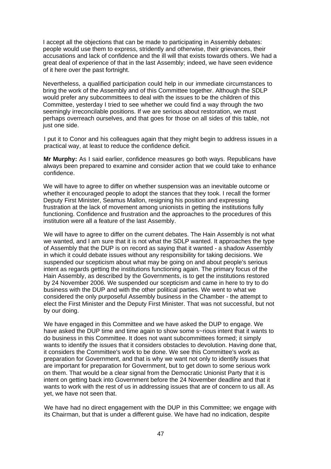I accept all the objections that can be made to participating in Assembly debates: people would use them to express, stridently and otherwise, their grievances, their accusations and lack of confidence and the ill will that exists towards others. We had a great deal of experience of that in the last Assembly; indeed, we have seen evidence of it here over the past fortnight.

Nevertheless, a qualified participation could help in our immediate circumstances to bring the work of the Assembly and of this Committee together. Although the SDLP would prefer any subcommittees to deal with the issues to be the children of this Committee, yesterday I tried to see whether we could find a way through the two seemingly irreconcilable positions. If we are serious about restoration, we must perhaps overreach ourselves, and that goes for those on all sides of this table, not just one side.

I put it to Conor and his colleagues again that they might begin to address issues in a practical way, at least to reduce the confidence deficit.

**Mr Murphy:** As I said earlier, confidence measures go both ways. Republicans have always been prepared to examine and consider action that we could take to enhance confidence.

We will have to agree to differ on whether suspension was an inevitable outcome or whether it encouraged people to adopt the stances that they took. I recall the former Deputy First Minister, Seamus Mallon, resigning his position and expressing frustration at the lack of movement among unionists in getting the institutions fully functioning. Confidence and frustration and the approaches to the procedures of this institution were all a feature of the last Assembly.

We will have to agree to differ on the current debates. The Hain Assembly is not what we wanted, and I am sure that it is not what the SDLP wanted. It approaches the type of Assembly that the DUP is on record as saying that it wanted - a shadow Assembly in which it could debate issues without any responsibility for taking decisions. We suspended our scepticism about what may be going on and about people's serious intent as regards getting the institutions functioning again. The primary focus of the Hain Assembly, as described by the Governments, is to get the institutions restored by 24 November 2006. We suspended our scepticism and came in here to try to do business with the DUP and with the other political parties. We went to what we considered the only purposeful Assembly business in the Chamber - the attempt to elect the First Minister and the Deputy First Minister. That was not successful, but not by our doing.

We have engaged in this Committee and we have asked the DUP to engage. We have asked the DUP time and time again to show some s~rious intent that it wants to do business in this Committee. It does not want subcommittees formed; it simply wants to identify the issues that it considers obstacles to devolution. Having done that, it considers the Committee's work to be done. We see this Committee's work as preparation for Government, and that is why we want not only to identify issues that are important for preparation for Government, but to get down to some serious work on them. That would be a clear signal from the Democratic Unionist Party that it is intent on getting back into Government before the 24 November deadline and that it wants to work with the rest of us in addressing issues that are of concern to us all. As yet, we have not seen that.

We have had no direct engagement with the DUP in this Committee; we engage with its Chairman, but that is under a different guise. We have had no indication, despite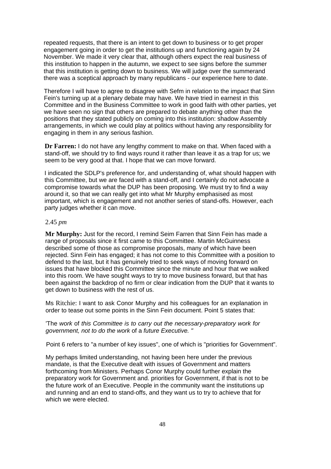repeated requests, that there is an intent to get down to business or to get proper engagement going in order to get the institutions up and functioning again by 24 November. We made it very clear that, although others expect the real business of this institution to happen in the autumn, we expect to see signs before the summer that this institution is getting down to business. We will judge over the summerand there was a sceptical approach by many republicans - our experience here to date.

Therefore I will have to agree to disagree with Sefm in relation to the impact that Sinn Fein's turning up at a plenary debate may have. We have tried in earnest in this Committee and in the Business Committee to work in good faith with other parties, yet we have seen no sign that others are prepared to debate anything other than the positions that they stated publicly on coming into this institution: shadow Assembly arrangements, in which we could play at politics without having any responsibility for engaging in them in any serious fashion.

**Dr Farren:** I do not have any lengthy comment to make on that. When faced with a stand-off, we should try to find ways round it rather than leave it as a trap for us; we seem to be very good at that. I hope that we can move forward.

I indicated the SDLP's preference for, and understanding of, what should happen with this Committee, but we are faced with a stand-off, and I certainly do not advocate a compromise towards what the DUP has been proposing. We must try to find a way around it, so that we can really get into what Mr Murphy emphasised as most important, which is engagement and not another series of stand-offs. However, each party judges whether it can move.

#### 2.45 *pm*

**Mr Murphy:** Just for the record, I remind Seim Farren that Sinn Fein has made a range of proposals since it first came to this Committee. Martin McGuinness described some of those as compromise proposals, many of which have been rejected. Sinn Fein has engaged; it has not come to this Committee with a position to defend to the last, but it has genuinely tried to seek ways of moving forward on issues that have blocked this Committee since the minute and hour that we walked into this room. We have sought ways to try to move business forward, but that has been against the backdrop of no firm or clear indication from the DUP that it wants to get down to business with the rest of us.

Ms Ritchie: I want to ask Conor Murphy and his colleagues for an explanation in order to tease out some points in the Sinn Fein document. Point 5 states that:

'The *work* of *this Committee is to carry out the necessary-preparatory work for government, not to do the work* of a *future Executive. "* 

Point 6 refers to "a number of key issues", one of which is "priorities for Government".

My perhaps limited understanding, not having been here under the previous mandate, is that the Executive dealt with issues of Government and matters forthcoming from Ministers. Perhaps Conor Murphy could further explain the preparatory work for Government and. priorities for Government, if that is not to be the future work of an Executive. People in the community want the institutions up and running and an end to stand-offs, and they want us to try to achieve that for which we were elected.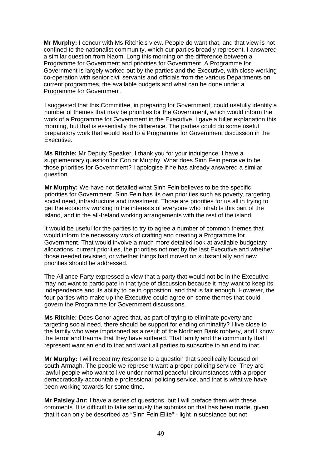**Mr Murphy:** I concur with Ms Ritchie's view. People do want that, and that view is not confined to the nationalist community, which our parties broadly represent. I answered a similar question from Naomi Long this morning on the difference between a Programme for Government and priorities for Government. A Programme for Government is largely worked out by the parties and the Executive, with close working co-operation with senior civil servants and officials from the various Departments on current programmes, the available budgets and what can be done under a Programme for Government.

I suggested that this Committee, in preparing for Government, could usefully identify a number of themes that may be priorities for the Government, which would inform the work of a Programme for Government in the Executive. I gave a fuller explanation this morning, but that is essentially the difference. The parties could do some useful preparatory work that would lead to a Programme for Government discussion in the Executive.

**Ms Ritchie:** Mr Deputy Speaker, I thank you for your indulgence. I have a supplementary question for Con or Murphy. What does Sinn Fein perceive to be those priorities for Government? I apologise if he has already answered a similar question.

**Mr Murphy:** We have not detailed what Sinn Fein believes to be the specific priorities for Government. Sinn Fein has its own priorities such as poverty, targeting social need, infrastructure and investment. Those are priorities for us all in trying to get the economy working in the interests of everyone who inhabits this part of the island, and in the all-Ireland working arrangements with the rest of the island.

It would be useful for the parties to try to agree a number of common themes that would inform the necessary work of crafting and creating a Programme for Government. That would involve a much more detailed look at available budgetary allocations, current priorities, the priorities not met by the last Executive and whether those needed revisited, or whether things had moved on substantially and new priorities should be addressed.

The Alliance Party expressed a view that a party that would not be in the Executive may not want to participate in that type of discussion because it may want to keep its independence and its ability to be in opposition, and that is fair enough. However, the four parties who make up the Executive could agree on some themes that could govern the Programme for Government discussions.

**Ms Ritchie:** Does Conor agree that, as part of trying to eliminate poverty and targeting social need, there should be support for ending criminality? I live close to the family who were imprisoned as a result of the Northern Bank robbery, and I know the terror and trauma that they have suffered. That family and the community that I represent want an end to that and want all parties to subscribe to an end to that.

**Mr Murphy:** I will repeat my response to a question that specifically focused on south Armagh. The people we represent want a proper policing service. They are lawful people who want to live under normal peaceful circumstances with a proper democratically accountable professional policing service, and that is what we have been working towards for some time.

**Mr Paisley Jnr:** I have a series of questions, but I will preface them with these comments. It is difficult to take seriously the submission that has been made, given that it can only be described as "Sinn Fein Elite" - light in substance but not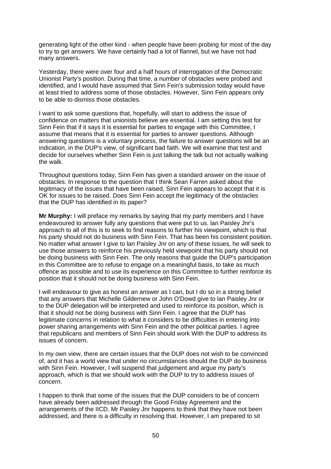generating light of the other kind - when people have been probing for most of the day to try to get answers. We have certainly had a lot of flannel, but we have not had many answers.

Yesterday, there were over four and a half hours of interrogation of the Democratic Unionist Party's position. During that time, a number of obstacles were probed and identified, and I would have assumed that Sinn Fein's submission today would have at least tried to address some of those obstacles. However, Sinn Fein appears only to be able to dismiss those obstacles.

I want to ask some questions that, hopefully, will start to address the issue of confidence on matters that unionists believe are essential. I am setting this test for Sinn Fein that if it says it is essential for parties to engage with this Committee, I assume that means that it is essential for parties to answer questions. Although answering questions is a voluntary process, the failure to answer questions will be an indication, in the DUP's view, of significant bad faith. We will examine that test and decide for ourselves whether Sinn Fein is just talking the talk but not actually walking the walk.

Throughout questions today, Sinn Fein has given a standard answer on the issue of obstacles. In response to the question that I think Sean Farren asked about the legitimacy of the issues that have been raised, Sinn Fein appears to accept that it is OK for issues to be raised. Does Sinn Fein accept the legitimacy of the obstacles that the DUP has identified in its paper?

**Mr Murphy:** I will preface my remarks by saying that my party members and I have endeavoured to answer fully any questions that were put to us. lan Paisley Jnr's approach to all of this is to seek to find reasons to further his viewpoint, which is that his party should not do business with Sinn Fein. That has been his consistent position. No matter what answer I give to lan Paisley Jnr on any of these issues, he will seek to use those answers to reinforce his previously held viewpoint that his party should not be doing business with Sinn Fein. The only reasons that guide the DUP's participation in this Committee are to refuse to engage on a meaningful basis, to take as much offence as possible and to use its experience on this Committee to further reinforce its position that it should not be doing business with Sinn Fein.

I will endeavour to give as honest an answer as I can, but I do so in a strong belief that any answers that Michelle Gildernew or John O'Dowd give to lan Paisley Jnr or to the DUP delegation will be interpreted and used to reinforce its position, which is that it should not be doing business with Sinn Fein. I agree that the DUP has legitimate concerns in relation to what it considers to be difficulties in entering into power sharing arrangements with Sinn Fein and the other political parties. I agree that republicans and members of Sinn Fein should work With the DUP to address its issues of concern.

In my own view, there are certain issues that the DUP does not wish to be convinced of, and it has a world view that under no circumstances should the DUP do business with Sinn Fein. However, I will suspend that judgement and argue my party's approach, which is that we should work with the DUP to try to address issues of concern.

I happen to think that some of the issues that the DUP considers to be of concern have already been addressed through the Good Friday Agreement and the arrangements of the IICD. Mr Paisley Jnr happens to think that they have not been addressed, and there is a difficulty in resolving that. However, I am prepared to sit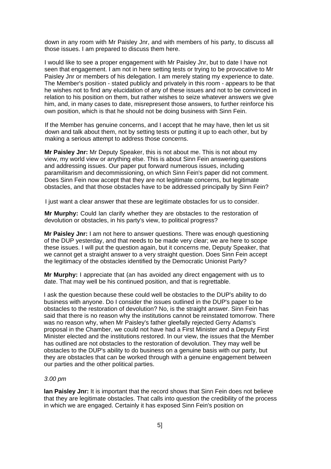down in any room with Mr Paisley Jnr, and with members of his party, to discuss all those issues. I am prepared to discuss them here.

I would like to see a proper engagement with Mr Paisley Jnr, but to date I have not seen that engagement. I am not in here setting tests or trying to be provocative to Mr Paisley Jnr or members of his delegation. I am merely stating my experience to date. The Member's position - stated publicly and privately in this room - appears to be that he wishes not to find any elucidation of any of these issues and not to be convinced in relation to his position on them, but rather wishes to seize whatever answers we give him, and, in many cases to date, misrepresent those answers, to further reinforce his own position, which is that he should not be doing business with Sinn Fein.

If the Member has genuine concerns, and I accept that he may have, then let us sit down and talk about them, not by setting tests or putting it up to each other, but by making a serious attempt to address those concerns.

**Mr Paisley Jnr:** Mr Deputy Speaker, this is not about me. This is not about my view, my world view or anything else. This is about Sinn Fein answering questions and addressing issues. Our paper put forward numerous issues, including paramilitarism and decommissioning, on which Sinn Fein's paper did not comment. Does Sinn Fein now accept that they are not legitimate concerns, but legitimate obstacles, and that those obstacles have to be addressed principally by Sinn Fein?

I just want a clear answer that these are legitimate obstacles for us to consider.

**Mr Murphy:** Could lan clarify whether they are obstacles to the restoration of devolution or obstacles, in his party's view, to political progress?

**Mr Paisley Jnr:** I am not here to answer questions. There was enough questioning of the DUP yesterday, and that needs to be made very clear; we are here to scope these issues. I will put the question again, but it concerns me, Deputy Speaker, that we cannot get a straight answer to a very straight question. Does Sinn Fein accept the legitimacy of the obstacles identified by the Democratic Unionist Party?

**Mr Murphy:** I appreciate that (an has avoided any direct engagement with us to date. That may well be his continued position, and that is regrettable.

I ask the question because these could well be obstacles to the DUP's ability to do business with anyone. Do I consider the issues outlined in the DUP's paper to be obstacles to the restoration of devolution? No, is the straight answer. Sinn Fein has said that there is no reason why the institutions cannot be reinstated tomorrow. There was no reason why, when Mr Paisley's father gleefally rejected Gerry Adams's proposal in the Chamber, we could not have had a First Minister and a Deputy First Minister elected and the institutions restored. In our view, the issues that the Member has outlined are not obstacles to the restoration of devolution. They may well be obstacles to the DUP's ability to do business on a genuine basis with our party, but they are obstacles that can be worked through with a genuine engagement between our parties and the other political parties.

## *3.00 pm*

**lan Paisley Jnr:** It is important that the record shows that Sinn Fein does not believe that they are legitimate obstacles. That calls into question the credibility of the process in which we are engaged. Certainly it has exposed Sinn Fein's position on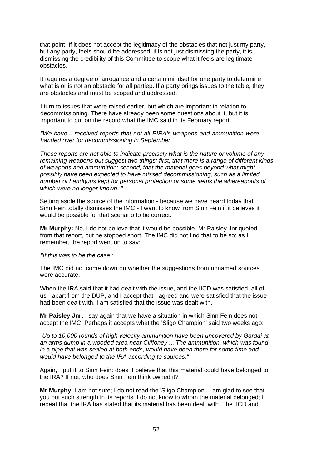that point. If it does not accept the legitimacy of the obstacles that not just my party, but any party, feels should be addressed, iUs not just dismissing the party, it is dismissing the credibility of this Committee to scope what it feels are legitimate obstacles.

It requires a degree of arrogance and a certain mindset for one party to determine what is or is not an obstacle for all partiep. If a party brings issues to the table, they are obstacles and must be scoped and addressed.

I turn to issues that were raised earlier, but which are important in relation to decommissioning. There have already been some questions about it, but it is important to put on the record what the IMC said in its February report:

*"We have... received reports that not all PIRA's weapons and ammunition were handed over for decommissioning in September.* 

*These reports are not able to indicate precisely what is the nature or volume of any remaining weapons but suggest two things: first, that there is* a *range of different kinds of weapons and ammunition; second, that the material goes beyond what might possibly have been expected to have missed decommissioning, such* as a *limited number of handguns kept for personal protection or some items the whereabouts of which were no longer known. "* 

Setting aside the source of the information - because we have heard today that Sinn Fein totally dismisses the IMC - I want to know from Sinn Fein if it believes it would be possible for that scenario to be correct.

**Mr Murphy:** No, I do not believe that it would be possible. Mr Paisley Jnr quoted from that report, but he stopped short. The IMC did not find that to be so; as I remember, the report went on to say:

*"If this was to be the case':* 

The IMC did not come down on whether the suggestions from unnamed sources were accurate.

When the IRA said that it had dealt with the issue, and the IICD was satisfied, all of us - apart from the DUP, and I accept that - agreed and were satisfied that the issue had been dealt with. I am satisfied that the issue was dealt with.

**Mr Paisley Jnr:** I say again that we have a situation in which Sinn Fein does not accept the IMC. Perhaps it accepts what the 'Sligo Champion' said two weeks ago:

*"Up to 10,000 rounds of high velocity ammunition have been uncovered by Gardai at an arms dump in* a *wooded area near Cliffoney* ... *The ammunition, which was found in* a *pipe that was sealed at both ends, would have been there for some time and would have belonged to the IRA according to sources."* 

Again, I put it to Sinn Fein: does it believe that this material could have belonged to the IRA? If not, who does Sinn Fein think owned it?

**Mr Murphy:** I am not sure; I do not read the 'Sligo Champion'. I am glad to see that you put such strength in its reports. I do not know to whom the material belonged; I repeat that the IRA has stated that its material has been dealt with. The IICD and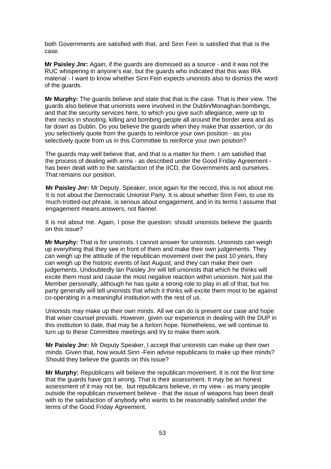both Governments are satisfied with that, and Sinn Fein is satisfied that that is the case.

**Mr Paisley Jnr:** Again, if the guards are dismissed as a source - and it was not the RUC whispering in anyone's ear, but the guards who indicated that this was IRA material - I want to know whether Sinn Fein expects unionists also to dismiss the word of the guards.

**Mr Murphy:** The guards believe and state that that is the case. That is their view. The guards also believe that unionists were involved in the Dublin/Monaghan bombings, and that the security services here, to which you give such allegiance, were up to their necks in shooting, killing and bombing people all around the border area and as far down as Dublin. Do you believe the guards when they make that assertion, or do you selectively quote from the guards to reinforce your own position - as you selectively quote from us in this Committee to reinforce your own position?

The guards may well believe that, and that is a matter for them. I am satisfied that the process of dealing with arms - as described under the Good Friday Agreement has been dealt with to the satisfaction of the IICD, the Governments and ourselves. That remains our position.

**Mr Paisley Jnr:** Mr Deputy. Speaker, once again for the record, this is not about me. It is not about the Democratic Unionist Party. It is about whether Sinn Fein, to use its much-trotted-out phrase, is serious about engagement, and in its terms I assume that engagement means answers, not flannel.

It is not about me. Again, I pose the question: should unionists believe the guards on this issue?

**Mr Murphy:** That is for unionists. I cannot answer for unionists. Unionists can weigh up everything that they see in front of them and make their own judgements. They can weigh up the attitude of the republican movement over the past 10 years, they can weigh up the historic events of last August, and they can make their own judgements. Undoubtedly lan Paisley Jnr will tell unionists that which he thinks will excite them most and cause the most negative reaction within unionism. Not just the Member personally, although he has quite a strong role to play in all of that, but his party generally will tell unionists that which it thinks will excite them most to be against co-operating in a meaningful institution with the rest of us.

Unionists may make up their own minds. All we can do is present our case and hope that wiser counsel prevails. However, given our experience in dealing with the DUP in this institution to date, that may be a forlorn hope. Nonetheless, we will continue to turn up to these Committee meetings and try to make them work.

**Mr Paisley Jnr:** Mr Deputy Speaker, I accept that unionists can make up their own minds. Given that, how would Sinn -Fein advise republicans to make up their minds? Should they believe the guards on this issue?

**Mr Murphy:** Republicans will believe the republican movement. It is not the first time that the guards have got it wrong. That is their assessment. It may be an honest assessment of it may not be, but republicans believe, in my view - as many people outside the republican movement believe - that the issue of weapons has been dealt with to the satisfaction of anybody who wants to be reasonably satisfied under the terms of the Good Friday Agreement.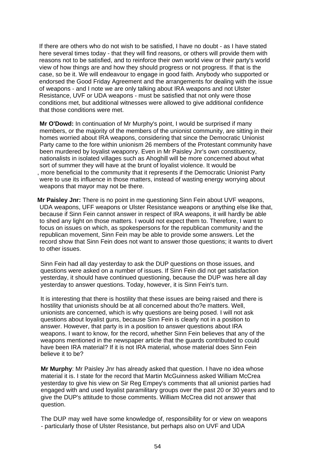If there are others who do not wish to be satisfied, I have no doubt - as I have stated here several times today - that they will find reasons, or others will provide them with reasons not to be satisfied, and to reinforce their own world view or their party's world view of how things are and how they should progress or not progress. If that is the case, so be it. We will endeavour to engage in good faith. Anybody who supported or endorsed the Good Friday Agreement and the arrangements for dealing with the issue of weapons - and I note we are only talking about IRA weapons and not Ulster Resistance, UVF or UDA weapons - must be satisfied that not only were those conditions met, but additional witnesses were allowed to give additional confidence that those conditions were met.

**Mr O'Dowd:** In continuation of Mr Murphy's point, I would be surprised if many members, or the majority of the members of the unionist community, are sitting in their homes worried about IRA weapons, considering that since the Democratic Unionist Party came to the fore within unionism 26 members of the Protestant community have been murdered by loyalist weaponry. Even in Mr Paisley Jnr's own constituency, nationalists in isolated villages such as Ahoghill will be more concerned about what sort of summer they will have at the brunt of loyalist violence. It would be , more beneficial to the community that it represents if the Democratic Unionist Party were to use its influence in those matters, instead of wasting energy worrying about weapons that mayor may not be there.

**Mr Paisley Jnr:** There is no point in me questioning Sinn Fein about UVF weapons, UDA weapons, UFF weapons or Ulster Resistance weapons or anything else like that, because if Sinn Fein cannot answer in respect of IRA weapons, it will hardly be able to shed any light on those matters. I would not expect them to. Therefore, I want to focus on issues on which, as spokespersons for the republican community and the republican movement, Sinn Fein may be able to provide some answers. Let the record show that Sinn Fein does not want to answer those questions; it wants to divert to other issues.

Sinn Fein had all day yesterday to ask the DUP questions on those issues, and questions were asked on a number of issues. If Sinn Fein did not get satisfaction yesterday, it should have continued questioning, because the DUP was here all day yesterday to answer questions. Today, however, it is Sinn Fein's turn.

It is interesting that there is hostility that these issues are being raised and there is hostility that unionists should be at all concerned about tho?e matters. Well, unionists are concerned, which is why questions are being posed. I will not ask questions about loyalist guns, because Sinn Fein is clearly not in a position to answer. However, that party is in a position to answer questions about IRA weapons. I want to know, for the record, whether Sinn Fein believes that any of the weapons mentioned in the newspaper article that the guards contributed to could have been IRA material? If it is not IRA material, whose material does Sinn Fein believe it to be?

**Mr Murphy**: Mr Paisley Jnr has already asked that question. I have no idea whose material it is. I state for the record that Martin McGuinness asked William McCrea yesterday to give his view on Sir Reg Empey's comments that all unionist parties had engaged with and used loyalist paramilitary groups over the past 20 or 30 years and to give the DUP's attitude to those comments. William McCrea did not answer that question.

The DUP may well have some knowledge of, responsibility for or view on weapons - particularly those of Ulster Resistance, but perhaps also on UVF and UDA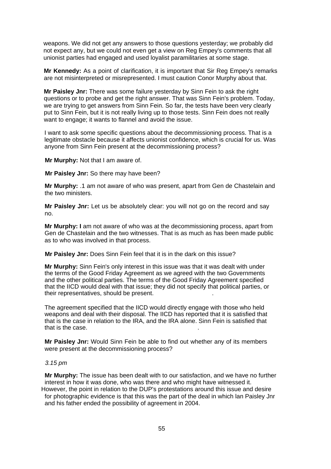weapons. We did not get any answers to those questions yesterday; we probably did not expect any, but we could not even get a view on Reg Empey's comments that all unionist parties had engaged and used loyalist paramilitaries at some stage.

**Mr Kennedy:** As a point of clarification, it is important that Sir Reg Empey's remarks are not misinterpreted or misrepresented. I must caution Conor Murphy about that.

**Mr Paisley Jnr:** There was some failure yesterday by Sinn Fein to ask the right questions or to probe and get the right answer. That was Sinn Fein's problem. Today, we are trying to get answers from Sinn Fein. So far, the tests have been very clearly put to Sinn Fein, but it is not really living up to those tests. Sinn Fein does not really want to engage; it wants to flannel and avoid the issue.

I want to ask some specific questions about the decommissioning process. That is a legitimate obstacle because it affects unionist confidence, which is crucial for us. Was anyone from Sinn Fein present at the decommissioning process?

**Mr Murphy:** Not that I am aware of.

**Mr Paisley Jnr:** So there may have been?

**Mr Murphy:** .1 am not aware of who was present, apart from Gen de Chastelain and the two ministers.

**Mr Paisley Jnr:** Let us be absolutely clear: you will not go on the record and say no.

**Mr Murphy: I** am not aware of who was at the decommissioning process, apart from Gen de Chastelain and the two witnesses. That is as much as has been made public as to who was involved in that process.

**Mr Paisley Jnr:** Does Sinn Fein feel that it is in the dark on this issue?

**Mr Murphy:** Sinn Fein's only interest in this issue was that it was dealt with under the terms of the Good Friday Agreement as we agreed with the two Governments and the other political parties. The terms of the Good Friday Agreement specified that the IICD would deal with that issue; they did not specify that political parties, or their representatives, should be present. .

The agreement specified that the IICD would directly engage with those who held weapons and deal with their disposal. The IICD has reported that it is satisfied that that is the case in relation to the IRA, and the IRA alone. Sinn Fein is satisfied that that is the case. .

**Mr Paisley Jnr:** Would Sinn Fein be able to find out whether any of its members were present at the decommissioning process?

# *3.15 pm*

**Mr Murphy:** The issue has been dealt with to our satisfaction, and we have no further interest in how it was done, who was there and who might have witnessed it. However, the point in relation to the DUP's protestations around this issue and desire for photographic evidence is that this was the part of the deal in which lan Paisley Jnr and his father ended the possibility of agreement in 2004.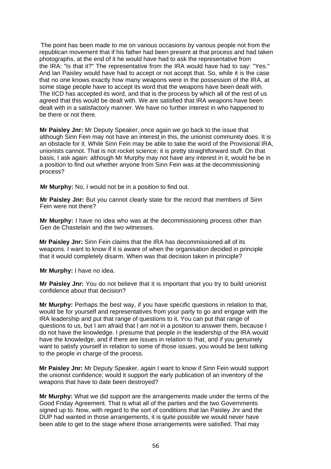The point has been made to me on various occasions by various people not from the republican movement that if his father had been present at that process and had taken photographs, at the end of it he would have had to ask the representative from the IRA: "Is that it?" The representative from the IRA would have had to say: "Yes." And lan Paisley would have had to accept or not accept that. So, while it is the case that no one knows exactly how many weapons were in the possession of the IRA, at some stage people have to accept its word that the weapons have been dealt with. The IICD has accepted its word, and that is the process by which all of the rest of us agreed that this would be dealt with. We are satisfied that IRA weapons have been dealt with in a satisfactory manner. We have no further interest in who happened to be there or not there.

**Mr Paisley Jnr:** Mr Deputy Speaker, once again we go back to the issue that although Sinn Fein may not have an interest in this, the unionist community does. It is an obstacle for it. While Sinn Fein may be able to take the word of the Provisional IRA, unionists cannot. That is not rocket science; it is pretty straightforward stuff. On that basis, I ask again: although Mr Murphy may not have any interest in it, would he be in a position to find out whether anyone from Sinn Fein was at the decommissioning process?

**Mr Murphy:** No, I would not be in a position to find out.

**Mr Paisley Jnr:** But you cannot clearly state for the record that members of Sinn Fein were not there?

**Mr Murphy:** I have no idea who was at the decommissioning process other than Gen de Chastelain and the two witnesses.

**Mr Paisley Jnr:** Sinn Fein claims that the IRA has decommissioned all of its weapons. I want to know if it is aware of when the organisation decided in principle that it would completely disarm. When was that decision taken in principle?

**Mr Murphy:** I have no idea.

**Mr Paisley Jnr:** You do not believe that it is important that you try to build unionist confidence about that decision?

**Mr Murphy:** Perhaps the best way, if you have specific questions in relation to that, would be for yourself and representatives from your party to go and engage with the IRA leadership and put that range of questions to it. You can put that range of questions to us, but I am afraid that I am not in a position to answer them, because I do not have the knowledge. I presume that people in the leadership of the IRA would have the knowledge, and if there are issues in relation to !hat, and if you genuinely want to satisfy yourself in relation to some of those issues, you would be best talking to the people in charge of the process.

**Mr Paisley Jnr:** Mr Deputy Speaker, again I want to know if Sinn Fein would support the unionist confidence; would it support the early publication of an inventory of the weapons that have to date been destroyed?

**Mr Murphy:** What we did support are the arrangements made under the terms of the Good Friday Agreement. That is what all of the parties and the two Governments signed up to. Now, with regard to the sort of conditions that lan Paisley Jnr and the DUP had wanted in those arrangements, it is quite possible we would never have been able to get to the stage where those arrangements were satisfied. That may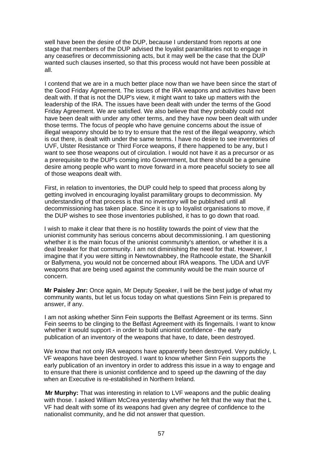well have been the desire of the DUP, because I understand from reports at one stage that members of the DUP advised the loyalist paramilitaries not to engage in any ceasefires or decommissioning acts, but it may well be the case that the DUP wanted such clauses inserted, so that this process would not have been possible at all.

I contend that we are in a much better place now than we have been since the start of the Good Friday Agreement. The issues of the IRA weapons and activities have been dealt with. If that is not the DUP's view, it might want to take up matters with the leadership of the IRA. The issues have been dealt with under the terms of the Good Friday Agreement. We are satisfied. We also believe that they probably could not have been dealt with under any other terms, and they have now been dealt with under those terms. The focus of people who have genuine concerns about the issue of illegal weaponry should be to try to ensure that the rest of the illegal weaponry, which is out there, is dealt with under the same terms. I have no desire to see inventories of UVF, Ulster Resistance or Third Force weapons, if there happened to be any, but I want to see those weapons out of circulation. I would not have it as a precursor or as a prerequisite to the DUP's coming into Government, but there should be a genuine desire among people who want to move forward in a more peaceful society to see all of those weapons dealt with.

First, in relation to inventories, the DUP could help to speed that process along by getting involved in encouraging loyalist paramilitary groups to decommission. My understanding of that process is that no inventory will be published until all decommissioning has taken place. Since it is up to loyalist organisations to move, if the DUP wishes to see those inventories published, it has to go down that road.

I wish to make it clear that there is no hostility towards the point of view that the unionist community has serious concerns about decommissioning. I am questioning whether it is the main focus of the unionist community's attention, or whether it is a deal breaker for that community. I am not diminishing the need for that. However, I imagine that if you were sitting in Newtownabbey, the Rathcoole estate, the Shankill or Ballymena, you would not be concerned about IRA weapons. The UDA and UVF weapons that are being used against the community would be the main source of concern.

**Mr Paisley Jnr:** Once again, Mr Deputy Speaker, I will be the best judge of what my community wants, but let us focus today on what questions Sinn Fein is prepared to answer, if any.

I am not asking whether Sinn Fein supports the Belfast Agreement or its terms. Sinn Fein seems to be clinging to the Belfast Agreement with its fingernails. I want to know whether it would support - in order to build unionist confidence - the early publication of an inventory of the weapons that have, to date, been destroyed.

We know that not only IRA weapons have apparently been destroyed. Very publicly, L VF weapons have been destroyed. I want to know whether Sinn Fein supports the early publication of an inventory in order to address this issue in a way to engage and to ensure that there is unionist confidence and to speed up the dawning of the day when an Executive is re-established in Northern lreland.

**Mr Murphy:** That was interesting in relation to LVF weapons and the public dealing with those. I asked William McCrea yesterday whether he felt that the way that the L VF had dealt with some of its weapons had given any degree of confidence to the nationalist community, and he did not answer that question.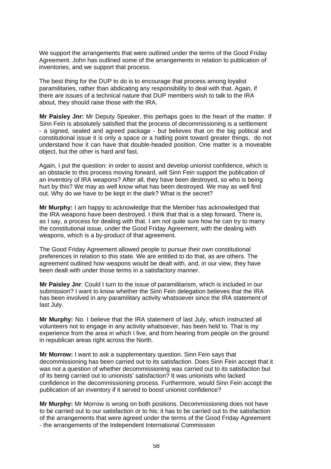We support the arrangements that were outlined under the terms of the Good Friday Agreement. John has outlined some of the arrangements in relation to publication of inventories, and we support that process.

The best thing for the DUP to do is to encourage that process among loyalist paramilitaries, rather than abdicating any responsibility to deal with that. Again, if there are issues of a technical nature that DUP members wish to talk to the IRA about, they should raise those with the IRA.

**Mr Paisley Jnr:** Mr Deputy Speaker, this perhaps goes to the heart of the matter. If Sinn Fein is absolutely satisfied that the process of decommissioning is a settlement - a signed, sealed and agreed package - but believes that on the big political and constitutional issue it is only a space or a halting point toward greater things, do not understand how it can have that double-headed position. One matter is a moveable object, but the other is hard and fast.

Again, I put the question: in order to assist and develop unionist confidence, which is an obstacle to this process moving forward, will Sinn Fein support the publication of an inventory of IRA weapons? After all, they have been destroyed, so who is being hurt by this? We may as well know what has been destroyed. We may as well find out. Why do we have to be kept in the dark? What is the secret?

**Mr Murphy:** I am happy to acknowledge that the Member has acknowledged that the IRA weapons have been destroyed. I think that that is a step forward. There is, as I say, a process for dealing with that. I am not quite sure how he can try to marry the constitutional issue, under the Good Friday Agreement, with the dealing with weapons, which is a by-product of that agreement.

The Good Friday Agreement allowed people to pursue their own constitutional preferences in relation to this state. We are entitled to do that, as are others. The agreement outlined how weapons would be dealt with, and, in our view, they have been dealt with under those terms in a satisfactory manner.

**Mr Paisley Jnr**: Could I turn to the issue of paramilitarism, which is included in our submission? I want to know whether the Sinn Fein delegation believes that the IRA has been involved in any paramilitary activity whatsoever since the IRA statement of last July.

**Mr Murphy:** No. I believe that the IRA statement of last July, which instructed all volunteers not to engage in any activity whatsoever, has been held to. That is my experience from the area in which I live, and from hearing from people on the ground in republican areas right across the North.

**Mr Morrow:** I want to ask a supplementary question. Sinn Fein says that decommissioning has been carried out to its satisfaction. Does Sinn Fein accept that it was not a question of whether decommissioning was carried out to its satisfaction but of its being carried out to unionists' satisfaction? It was unionists who lacked confidence in the decommissioning process. Furthermore, would Sinn Fein accept the publication of an inventory if it served to boost unionist confidence?

**Mr Murphy:** Mr Morrow is wrong on both positions. Decommissioning does not have to be carried out to our satisfaction or to his: it has to be carried out to the satisfaction of the arrangements that were agreed under the terms of the Good Friday Agreement - the arrangements of the Independent International Commission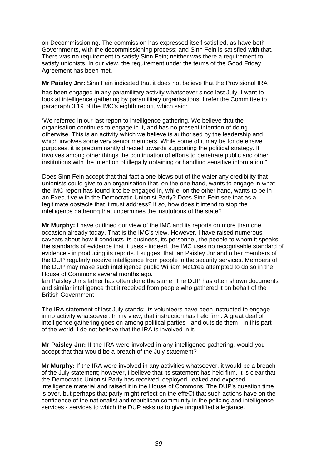on Decommissioning. The commission has expressed itself satisfied, as have both Governments, with the decommissioning process; and Sinn Fein is satisfied with that. There was no requirement to satisfy Sinn Fein; neither was there a requirement to satisfy unionists. In our view, the requirement under the terms of the Good Friday Agreement has been met.

**Mr Paisley Jnr:** Sinn Fein indicated that it does not believe that the Provisional IRA .

has been engaged in any paramilitary activity whatsoever since last July. I want to look at intelligence gathering by paramilitary organisations. I refer the Committee to paragraph 3.19 of the IMC's eighth report, which said:

'We referred in our last report to intelligence gathering. We believe that the organisation continues to engage in it, and has no present intention of doing otherwise. This is an activity which we believe is authorised by the leadership and which involves some very senior members. While some of it may be for defensive purposes, it is predominantly directed towards supporting the political strategy. It involves among other things the continuation of efforts to penetrate public and other institutions with the intention of illegally obtaining or handling sensitive information."

Does Sinn Fein accept that that fact alone blows out of the water any credibility that unionists could give to an organisation that, on the one hand, wants to engage in what the IMC report has found it to be engaged in, while, on the other hand, wants to be in an Executive with the Democratic Unionist Party? Does Sinn Fein see that as a legitimate obstacle that it must address? If so, how does it intend to stop the intelligence gathering that undermines the institutions of the state?

**Mr Murphy:** I have outlined our view of the IMC and its reports on more than one occasion already today. That is the IMC's view. However, I have raised numerous caveats about how it conducts its business, its personnel, the people to whom it speaks, the standards of evidence that it uses - indeed, the IMC uses no recognisable standard of evidence - in producing its reports. I suggest that lan Paisley Jnr and other members of the DUP regularly receive intelligence from people in the security services. Members of the DUP may make such intelligence public William McCrea attempted to do so in the House of Commons several months ago.

lan Paisley Jnr's father has often done the same. The DUP has often shown documents and similar intelligence that it received from people who gathered it on behalf of the British Government.

The IRA statement of last July stands: its volunteers have been instructed to engage in no activity whatsoever. In my view, that instruction has held firm. A great deal of intelligence gathering goes on among political parties - and outside them - in this part of the world. I do not believe that the IRA is involved in it.

**Mr Paisley Jnr:** If the IRA were involved in any intelligence gathering, would you accept that that would be a breach of the July statement?

**Mr Murphy:** If the IRA were involved in any activities whatsoever, it would be a breach of the July statement; however, I believe that its statement has held firm. It is clear that the Democratic Unionist Party has received, deployed, leaked and exposed intelligence material and raised it in the House of Commons. The DUP's question time is over, but perhaps that party might reflect on the effeCt that such actions have on the confidence of the nationalist and republican community in the policing and intelligence services - services to which the DUP asks us to give unqualified allegiance.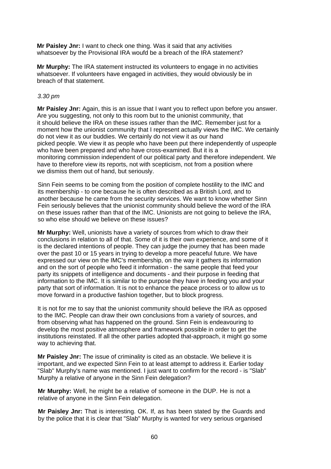**Mr Paisley Jnr:** I want to check one thing. Was it said that any activities whatsoever by the Provisional IRA woufd be a breach of the IRA statement?

**Mr Murphy:** The IRA statement instructed its volunteers to engage in no activities whatsoever. If volunteers have engaged in activities, they would obviously be in breach of that statement.

# *3.30 pm*

**Mr Paisley Jnr:** Again, this is an issue that I want you to reflect upon before you answer. Are you suggesting, not only to this room but to the unionist community, that it should believe the IRA on these issues rather than the IMC. Remember just for a moment how the unionist community that I represent actually views the IMC. We certainly do not view it as our buddies. We certainly do not view it as our hand picked people. We view it as people who have been put there independently of uspeople who have been prepared and who have cross-examined. But it is a monitoring commission independent of our political party and therefore independent. We have to therefore view its reports, not with scepticism, not from a position where we dismiss them out of hand, but seriously.

Sinn Fein seems to be coming from the position of complete hostility to the IMC and its membership - to one because he is often described as a British Lord, and to another because he came from the security services. We want to know whether Sinn Fein seriously believes that the unionist community should believe the word of the IRA on these issues rather than that of the IMC. Unionists are not going to believe the IRA, so who else should we believe on these issues?

**Mr Murphy:** Well, unionists have a variety of sources from which to draw their conclusions in relation to all of that. Some of it is their own experience, and some of it is the declared intentions of people. They can judge the journey that has been made over the past 10 or 15 years in trying to develop a more peaceful future. We have expressed our view on the IMC's membership, on the way it gathers its information and on the sort of people who feed it information - the same people that feed your party its snippets of intelligence and documents - and their purpose in feeding that information to the IMC. It is similar to the purpose they have in feeding you and your party that sort of information. It is not to enhance the peace process or to allow us to move forward in a productive fashion together, but to block progress.

It is not for me to say that the unionist community should believe the IRA as opposed to the IMC. People can draw their own conclusions from a variety of sources, and from observing what has happened on the ground. Sinn Fein is endeavouring to develop the most positive atmosphere and framework possible in order to get the institutions reinstated. If all the other parties adopted that-approach, it might go some way to achieving that.

**Mr Paisley Jnr:** The issue of criminality is cited as an obstacle. We believe it is important, and we expected Sinn Fein to at least attempt to address it. Earlier today "Slab" Murphy's name was mentioned. I just want to confirm for the record - is "Slab" Murphy a relative of anyone in the Sinn Fein delegation?

**Mr Murphy:** Well, he might be a relative of someone in the DUP. He is not a relative of anyone in the Sinn Fein delegation.

**Mr Paisley Jnr:** That is interesting. OK. If, as has been stated by the Guards and by the police that it is clear that "Slab" Murphy is wanted for very serious organised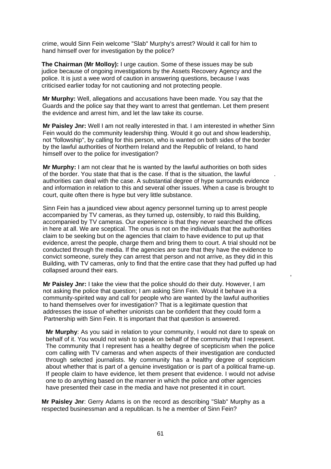crime, would Sinn Fein welcome "Slab" Murphy's arrest? Would it call for him to hand himself over for investigation by the police?

**The Chairman (Mr Molloy):** I urge caution. Some of these issues may be sub judice because of ongoing investigations by the Assets Recovery Agency and the police. It is just a wee word of caution in answering questions, because I was criticised earlier today for not cautioning and not protecting people.

**Mr Murphy:** Well, allegations and accusations have been made. You say that the Guards and the police say that they want to arrest that gentleman. Let them present the evidence and arrest him, and let the law take its course.

**Mr Paisley Jnr:** Well I am not really interested in that. I am interested in whether Sinn Fein would do the community leadership thing. Would it go out and show leadership, not "followship", by calling for this person, who is wanted on both sides of the border by the lawful authorities of Northern Ireland and the Republic of Ireland, to hand himself over to the police for investigation?

**Mr Murphy:** I am not clear that he is wanted by the lawful authorities on both sides of the border. You state that that is the case. If that is the situation, the lawful . authorities can deal with the case. A substantial degree of hype surrounds evidence and information in relation to this and several other issues. When a case is brought to court, quite often there is hype but very little substance.

Sinn Fein has a jaundiced view about agency personnel turning up to arrest people accompanied by TV cameras, as they turned up, ostensibly, to raid this Building, accompanied by TV cameras. Our experience is that they never searched the offices in here at all. We are sceptical. The onus is not on the individuals that the authorities claim to be seeking but on the agencies that claim to have evidence to put up that evidence, arrest the people, charge them and bring them to court. A trial should not be conducted through the media. If the agencies are sure that they have the evidence to convict someone, surely they can arrest that person and not arrive, as they did in this Building, with TV cameras, only to find that the entire case that they had puffed up had collapsed around their ears.

,

**Mr Paisley Jnr:** I take the view that the police should do their duty. However, I am not asking the police that question; I am asking Sinn Fein. Would it behave in a community-spirited way and call for people who are wanted by the lawful authorities to hand themselves over for investigation? That is a legitimate question that addresses the issue of whether unionists can be confident that they could form a Partnership with Sinn Fein. It is important that that question is answered.

**Mr Murphy**: As you said in relation to your community, I would not dare to speak on behalf of it. You would not wish to speak on behalf of the community that I represent. The community that I represent has a healthy degree of scepticism when the police com calling with TV cameras and when aspects of their investigation are conducted through selected journalists. My community has a healthy degree of scepticism about whether that is part of a genuine investigation or is part of a political frame-up. If people claim to have evidence, let them present that evidence. I would not advise one to do anything based on the manner in which the police and other agencies have presented their case in the media and have not presented it in court.

**Mr Paisley Jnr**: Gerry Adams is on the record as describing "Slab" Murphy as a respected businessman and a republican. Is he a member of Sinn Fein?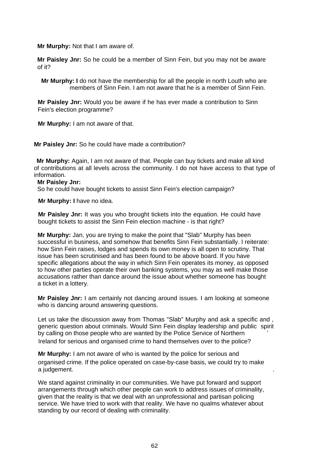**Mr Murphy:** Not that I am aware of.

**Mr Paisley Jnr:** So he could be a member of Sinn Fein, but you may not be aware of it?

 **Mr Murphy: I** do not have the membership for all the people in north Louth who are members of Sinn Fein. I am not aware that he is a member of Sinn Fein.

**Mr Paisley Jnr:** Would you be aware if he has ever made a contribution to Sinn Fein's election programme?

**Mr Murphy:** I am not aware of that.

**Mr Paisley Jnr:** So he could have made a contribution?

**Mr Murphy:** Again, I am not aware of that. People can buy tickets and make all kind of contributions at all levels across the community. I do not have access to that type of information.

#### **Mr Paisley Jnr:**

So he could have bought tickets to assist Sinn Fein's election campaign?

**Mr Murphy: I** have no idea.

**Mr Paisley Jnr:** It was you who brought tickets into the equation. He could have bought tickets to assist the Sinn Fein election machine - is that right?

**Mr Murphy:** Jan, you are trying to make the point that "Slab" Murphy has been successful in business, and somehow that benefits Sinn Fein substantially. I reiterate: how Sinn Fein raises, lodges and spends its own money is all open to scrutiny. That issue has been scrutinised and has been found to be above board. If you have specific allegations about the way in which Sinn Fein operates its money, as opposed to how other parties operate their own banking systems, you may as well make those accusations rather than dance around the issue about whether someone has bought a ticket in a lottery.

**Mr Paisley Jnr:** I am certainly not dancing around issues. I am looking at someone who is dancing around answering questions.

Let us take the discussion away from Thomas "Slab" Murphy and ask a specific and , generic question about criminals. Would Sinn Fein display leadership and public spirit by calling on those people who are wanted by the Police Service of Northern *'*  Ireland for serious and organised crime to hand themselves over to the police?

**Mr Murphy:** I am not aware of who is wanted by the police for serious and organised crime. If the police operated on case-by-case basis, we could try to make a judgement.

We stand against criminality in our communities. We have put forward and support arrangements through which other people can work to address issues of criminality, given that the reality is that we deal with an unprofessional and partisan policing service. We have tried to work with that reality. We have no qualms whatever about standing by our record of dealing with criminality.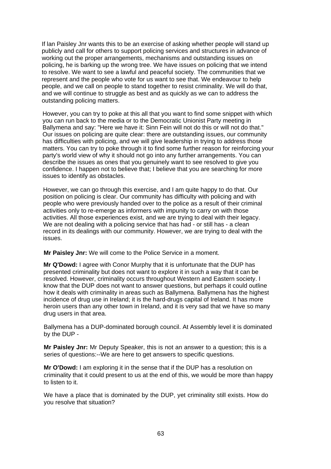If lan Paisley Jnr wants this to be an exercise of asking whether people will stand up publicly and call for others to support policing services and structures in advance of working out the proper arrangements, mechanisms and outstanding issues on policing, he is barking up the wrong tree. We have issues on policing that we intend to resolve. We want to see a lawful and peaceful society. The communities that we represent and the people who vote for us want to see that. We endeavour to help people, and we call on people to stand together to resist criminality. We will do that, and we will continue to struggle as best and as quickly as we can to address the outstanding policing matters.

However, you can try to poke at this all that you want to find some snippet with which you can run back to the media or to the Democratic Unionist Party meeting in Ballymena and say: "Here we have it: Sinn Fein will not do this or will not do that." Our issues on policing are quite clear: there are outstanding issues, our community has difficulties with policing, and we will give leadership in trying to address those matters. You can try to poke through it to find some further reason for reinforcing your party's world view of why it should not go into any further arrangements. You can describe the issues as ones that you genuinely want to see resolved to give you confidence. I happen not to believe that; I believe that you are searching for more issues to identify as obstacles.

However, we can go through this exercise, and I am quite happy to do that. Our position on policing is clear. Our community has difficulty with policing and with people who were previously handed over to the police as a result of their criminal activities only to re-emerge as informers with impunity to carry on with those activities. All those experiences exist, and we are trying to deal with their legacy. We are not dealing with a policing service that has had - or still has - a clean record in its dealings with our community. However, we are trying to deal with the issues.

**Mr Paisley Jnr:** We will come to the Police Service in a moment.

**Mr Q'Dowd:** I agree with Conor Murphy that it is unfortunate that the DUP has presented criminality but does not want to explore it in such a way that it can be resolved. However, criminality occurs throughout Western and Eastern society. I know that the DUP does not want to answer questions, but perhaps it could outline how it deals with criminality in areas such as Ballymena. Ballymena has the highest incidence of drug use in Ireland; it is the hard-drugs capital of Ireland. It has more heroin users than any other town in Ireland, and it is very sad that we have so many drug users in that area.

Ballymena has a DUP-dominated borough council. At Assembly level it is dominated by the DUP -

**Mr Paisley Jnr:** Mr Deputy Speaker, this is not an answer to a question; this is a series of questions:--We are here to get answers to specific questions.

**Mr O'Dowd:** I am exploring it in the sense that if the DUP has a resolution on criminality that it could present to us at the end of this, we would be more than happy to listen to it.

We have a place that is dominated by the DUP, yet criminality still exists. How do you resolve that situation?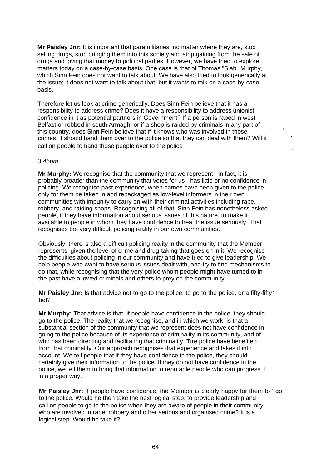**Mr Paisley Jnr:** It is important that paramilitaries, no matter where they are, stop selling drugs, stop bringing them into this society and stop gaining from the sale of drugs and giving that money to political parties. However, we have tried to explore matters today on a case-by-case basis. One case is that of Thomas "Slab" Murphy, which Sinn Fein does not want to talk about. We have also tried to look generically at the issue; it does not want to talk about that, but it wants to talk on a case-by-case basis.

Therefore let us look at crime generically. Does Sinn Fein believe that it has a responsibility to address crime? Does it have a responsibility to address unionist confidence in it as potential partners in Government? If a person is raped in west Belfast or robbed in south Armagh, or if a shop is raided by criminals in any part of this country, does Sinn Fein believe that if it knows who was involved in those ' crimes, it should hand them over to the police so that they can deal with them? Will it ' call on people to hand those people over to the police

.

# *3.45pm*

**Mr Murphy:** We recognise that the community that we represent - in fact, it is probably broader than the community that votes for us - has little or no confidence in policing. We recognise past experience, when names have been given to the police only for them be taken in and repackaged as low-level informers in their own communities with impunity to carry on with their criminal activities including rape, robbery, and raiding shops. Recognising all of that, Sinn Fein has nonetheless asked people, if they have information about serious issues of this nature, to make it available to people in whom they have confidence to treat the issue seriously. That recognises the very difficult policing reality in our own communities.

Obviously, there is also a difficult policing reality in the community that the Member represents, given the level of crime and drug-taking that goes on in it. We recognise the difficulties about policing in our community and have tried to give leadership. We help people who want to have serious issues dealt with, and try to find mechanisms to do that, while recognising that the very police whom people might have turned to in the past have allowed criminals and others to prey on the community.

**Mr Paisley Jnr:** Is that advice not to go to the police, to go to the police, or a fifty-fifty<sup>-</sup> bet?

**Mr Murphy:** That advice is that, if people have confidence in the police, they should go to the police. The reality that we recognise, and in which we work, is that a substantial section of the community that we represent does not have confidence in going to the police because of its experience of criminality in its community, and of who has been directing and facilitating that criminality. Ttre police have benefited from that criminality. Our approach recognises that experience and takes it into account. We tell people that if they have confidence in the police, they should certainly give their information to the police. If they do not have confidence in the police, we tell them to bring that information to reputable people who can progress it in a proper way.

**Mr Paisley Jnr:** If people have confidence, the Member is clearly happy for them to ' go to the police. Would he then take the next logical step, to provide leadership and call on people to go to the police when they are aware of people in their community who are involved in rape, robbery and other serious and organised crime? It is a logical step. Would he take it?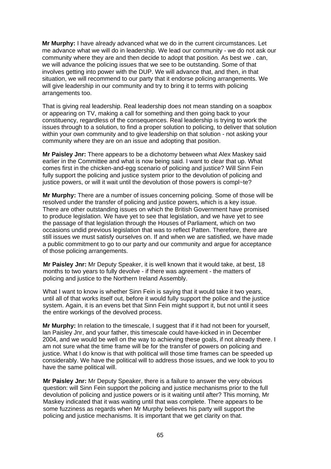**Mr Murphy:** I have already advanced what we do in the current circumstances. Let me advance what we will do in leadership. We lead our community - we do not ask our community where they are and then decide to adopt that position. As best we . can, we will advance the policing issues that we see to be outstanding. Some of that involves getting into power with the DUP. We will advance that, and then, in that situation, we will recommend to our party that it endorse policing arrangements. We will give leadership in our community and try to bring it to terms with policing arrangements too.

That is giving real leadership. Real leadership does not mean standing on a soapbox or appearing on TV, making a call for something and then going back to your constituency, regardless of the consequences. Real leadership is trying to work the issues through to a solution, to find a proper solution to policing, to deliver that solution within your own community and to give leadership on that solution - not asking your community where they are on an issue and adopting that position.

**Mr Paisley Jnr:** There appears to be a dichotomy between what Alex Maskey said earlier in the Committee and what is now being said. I want to clear that up. What comes first in the chicken-and-egg scenario of policing and justice? Will Sinn Fein fully support the policing and justice system prior to the devolution of policing and justice powers, or will it wait until the devolution of those powers is compl~te?

**Mr Murphy:** There are a number of issues concerning policing. Some of those will be resolved under the transfer of policing and justice powers, which is a key issue. There are other outstanding issues on which the British Government have promised to produce legislation. We have yet to see that legislation, and we have yet to see the passage of that legislation through the Houses of Parliament, which on two occasions undid previous legislation that was to reflect Patten. Therefore, there are still issues we must satisfy ourselves on. If and when we are satisfied, we have made a public commitment to go to our party and our community and argue for acceptance of those policing arrangements.

**Mr Paisley Jnr:** Mr Deputy Speaker, it is well known that it would take, at best, 18 months to two years to fully devolve - if there was agreement - the matters of policing and justice to the Northern Ireland Assembly.

What I want to know is whether Sinn Fein is saying that it would take it two years, until all of that works itself out, before it would fully support the police and the justice system. Again, it is an evens bet that Sinn Fein might support it, but not until it sees the entire workings of the devolved process.

**Mr Murphy:** In relation to the timescale, I suggest that if it had not been for yourself, lan Paisley Jnr, and your father, this timescale could have-kicked in in December 2004, and we would be well on the way to achieving these goals, if not already there. I am not sure what the time frame will be for the transfer of powers on policing and justice. What I do know is that with political will those time frames can be speeded up considerably. We have the political will to address those issues, and we look to you to have the same political will.

**Mr Paisley Jnr:** Mr Deputy Speaker, there is a failure to answer the very obvious question: will Sinn Fein support the policing and justice mechanisms prior to the full devolution of policing and justice powers or is it waiting until after? This morning, Mr Maskey indicated that it was waiting until that was complete. There appears to be some fuzziness as regards when Mr Murphy believes his party will support the policing and justice mechanisms. It is important that we get clarity on that.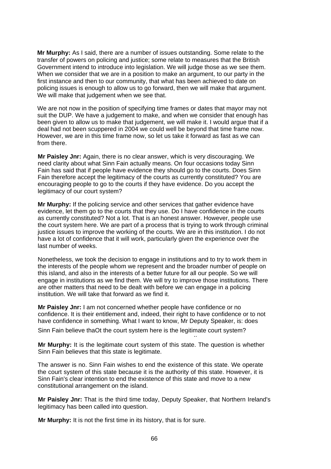**Mr Murphy:** As I said, there are a number of issues outstanding. Some relate to the transfer of powers on policing and justice; some relate to measures that the British Government intend to introduce into legislation. We will judge those as we see them. When we consider that we are in a position to make an argument, to our party in the first instance and then to our community, that what has been achieved to date on policing issues is enough to allow us to go forward, then we will make that argument. We will make that judgement when we see that.

We are not now in the position of specifying time frames or dates that mayor may not suit the DUP. We have a judgement to make, and when we consider that enough has been given to allow us to make that judgement, we will make it. I would argue that if a deal had not been scuppered in 2004 we could well be beyond that time frame now. However, we are in this time frame now, so let us take it forward as fast as we can from there.

**Mr Paisley Jnr:** Again, there is no clear answer, which is very discouraging. We need clarity about what Sinn Fain actually means. On four occasions today Sinn Fain has said that if people have evidence they should go to the courts. Does Sinn Fain therefore accept the legitimacy of the courts as currently constituted? You are encouraging people to go to the courts if they have evidence. Do you accept the legitimacy of our court system?

**Mr Murphy:** If the policing service and other services that gather evidence have evidence, let them go to the courts that they use. Do I have confidence in the courts as currently constituted? Not a lot. That is an honest answer. However, people use the court system here. We are part of a process that is trying to work through criminal justice issues to improve the working of the courts. We are in this institution. I do not have a lot of confidence that it will work, particularly given the experience over the last number of weeks.

Nonetheless, we took the decision to engage in institutions and to try to work them in the interests of the people whom we represent and the broader number of people on this island, and also in the interests of a better future for all our people. So we will engage in institutions as we find them. We will try to improve those institutions. There are other matters that need to be dealt with before we can engage in a policing institution. We will take that forward as we find it.

**Mr Paisley Jnr:** I am not concerned whether people have confidence or no confidence. It is their entitlement and, indeed, their right to have confidence or to not have confidence in something. What I want to know, Mr Deputy Speaker, is: does

Sinn Fain believe thaOt the court system here is the legitimate court system?

**Mr Murphy:** It is the legitimate court system of this state. The question is whether Sinn Fain believes that this state is legitimate.

The answer is no. Sinn Fain wishes to end the existence of this state. We operate the court system of this state because it is the authority of this state. However, it is Sinn Fain's clear intention to end the existence of this state and move to a new constitutional arrangement on the island.

**Mr Paisley Jnr:** That is the third time today, Deputy Speaker, that Northern Ireland's legitimacy has been called into question.

**Mr Murphy:** It is not the first time in its history, that is for sure.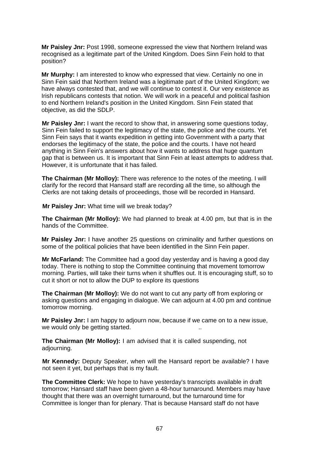**Mr Paisley Jnr:** Post 1998, someone expressed the view that Northern Ireland was recognised as a legitimate part of the United Kingdom. Does Sinn Fein hold to that position?

**Mr Murphy:** I am interested to know who expressed that view. Certainly no one in Sinn Fein said that Northern Ireland was a legitimate part of the United Kingdom; we have always contested that, and we will continue to contest it. Our very existence as Irish republicans contests that notion. We will work in a peaceful and political fashion to end Northern Ireland's position in the United Kingdom. Sinn Fein stated that objective, as did the SDLP.

**Mr Paisley Jnr:** I want the record to show that, in answering some questions today, Sinn Fein failed to support the legitimacy of the state, the police and the courts. Yet Sinn Fein says that it wants expedition in getting into Government with a party that endorses the legitimacy of the state, the police and the courts. I have not heard anything in Sinn Fein's answers about how it wants to address that huge quantum gap that is between us. It is important that Sinn Fein at least attempts to address that. However, it is unfortunate that it has failed.

**The Chairman (Mr Molloy):** There was reference to the notes of the meeting. I will clarify for the record that Hansard staff are recording all the time, so although the Clerks are not taking details of proceedings, those will be recorded in Hansard.

**Mr Paisley Jnr:** What time will we break today?

**The Chairman (Mr Molloy):** We had planned to break at 4.00 pm, but that is in the hands of the Committee.

**Mr Paisley Jnr:** I have another 25 questions on criminality and further questions on some of the political policies that have been identified in the Sinn Fein paper.

**Mr McFarland:** The Committee had a good day yesterday and is having a good day today. There is nothing to stop the Committee continuing that movement tomorrow morning. Parties, will take their turns when it shuffles out. It is encouraging stuff, so to cut it short or not to allow the DUP to explore its questions

**The Chairman (Mr Molloy):** We do not want to cut any party off from exploring or asking questions and engaging in dialogue. We can adjourn at 4.00 pm and continue tomorrow morning.

**Mr Paisley Jnr:** I am happy to adjourn now, because if we came on to a new issue, we would only be getting started.

**The Chairman (Mr Molloy):** I am advised that it is called suspending, not adjourning.

**Mr Kennedy:** Deputy Speaker, when will the Hansard report be available? I have not seen it yet, but perhaps that is my fault.

**The Committee Clerk:** We hope to have yesterday's transcripts available in draft tomorrow; Hansard staff have been given a 48-hour turnaround. Members may have thought that there was an overnight turnaround, but the turnaround time for Committee is longer than for plenary. That is because Hansard staff do not have